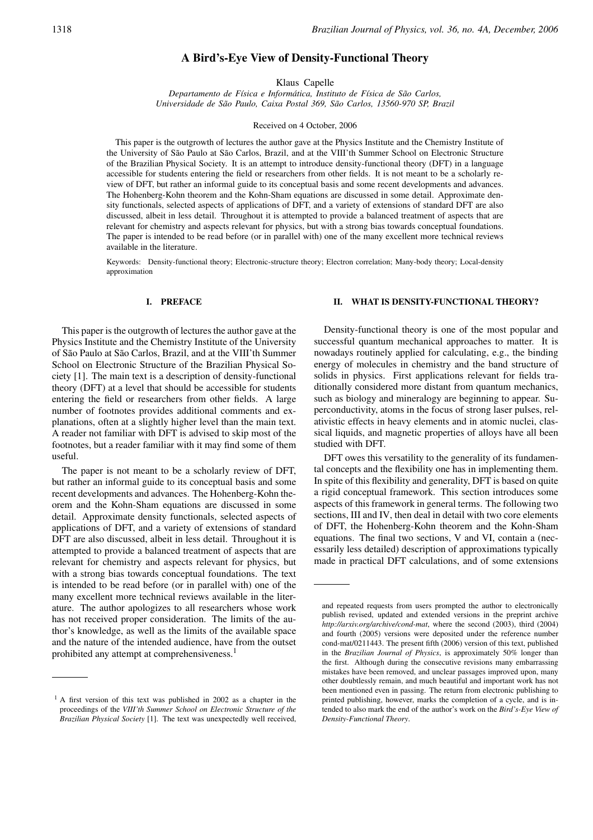# A Bird's-Eye View of Density-Functional Theory

Klaus Capelle

*Departamento de F´ısica e Informatica, Instituto de F ´ ´ısica de Sao Carlos, ˜ Universidade de São Paulo, Caixa Postal 369, São Carlos, 13560-970 SP, Brazil* 

Received on 4 October, 2006

This paper is the outgrowth of lectures the author gave at the Physics Institute and the Chemistry Institute of the University of São Paulo at São Carlos, Brazil, and at the VIII'th Summer School on Electronic Structure of the Brazilian Physical Society. It is an attempt to introduce density-functional theory (DFT) in a language accessible for students entering the field or researchers from other fields. It is not meant to be a scholarly review of DFT, but rather an informal guide to its conceptual basis and some recent developments and advances. The Hohenberg-Kohn theorem and the Kohn-Sham equations are discussed in some detail. Approximate density functionals, selected aspects of applications of DFT, and a variety of extensions of standard DFT are also discussed, albeit in less detail. Throughout it is attempted to provide a balanced treatment of aspects that are relevant for chemistry and aspects relevant for physics, but with a strong bias towards conceptual foundations. The paper is intended to be read before (or in parallel with) one of the many excellent more technical reviews available in the literature.

Keywords: Density-functional theory; Electronic-structure theory; Electron correlation; Many-body theory; Local-density approximation

## I. PREFACE

This paper is the outgrowth of lectures the author gave at the Physics Institute and the Chemistry Institute of the University of São Paulo at São Carlos, Brazil, and at the VIII'th Summer School on Electronic Structure of the Brazilian Physical Society [1]. The main text is a description of density-functional theory (DFT) at a level that should be accessible for students entering the field or researchers from other fields. A large number of footnotes provides additional comments and explanations, often at a slightly higher level than the main text. A reader not familiar with DFT is advised to skip most of the footnotes, but a reader familiar with it may find some of them useful.

The paper is not meant to be a scholarly review of DFT, but rather an informal guide to its conceptual basis and some recent developments and advances. The Hohenberg-Kohn theorem and the Kohn-Sham equations are discussed in some detail. Approximate density functionals, selected aspects of applications of DFT, and a variety of extensions of standard DFT are also discussed, albeit in less detail. Throughout it is attempted to provide a balanced treatment of aspects that are relevant for chemistry and aspects relevant for physics, but with a strong bias towards conceptual foundations. The text is intended to be read before (or in parallel with) one of the many excellent more technical reviews available in the literature. The author apologizes to all researchers whose work has not received proper consideration. The limits of the author's knowledge, as well as the limits of the available space and the nature of the intended audience, have from the outset prohibited any attempt at comprehensiveness.<sup>1</sup>

# II. WHAT IS DENSITY-FUNCTIONAL THEORY?

Density-functional theory is one of the most popular and successful quantum mechanical approaches to matter. It is nowadays routinely applied for calculating, e.g., the binding energy of molecules in chemistry and the band structure of solids in physics. First applications relevant for fields traditionally considered more distant from quantum mechanics, such as biology and mineralogy are beginning to appear. Superconductivity, atoms in the focus of strong laser pulses, relativistic effects in heavy elements and in atomic nuclei, classical liquids, and magnetic properties of alloys have all been studied with DFT.

DFT owes this versatility to the generality of its fundamental concepts and the flexibility one has in implementing them. In spite of this flexibility and generality, DFT is based on quite a rigid conceptual framework. This section introduces some aspects of this framework in general terms. The following two sections, III and IV, then deal in detail with two core elements of DFT, the Hohenberg-Kohn theorem and the Kohn-Sham equations. The final two sections, V and VI, contain a (necessarily less detailed) description of approximations typically made in practical DFT calculations, and of some extensions

<sup>&</sup>lt;sup>1</sup> A first version of this text was published in 2002 as a chapter in the proceedings of the *VIII'th Summer School on Electronic Structure of the Brazilian Physical Society* [1]. The text was unexpectedly well received,

and repeated requests from users prompted the author to electronically publish revised, updated and extended versions in the preprint archive *http://arxiv.org/archive/cond-mat*, where the second (2003), third (2004) and fourth (2005) versions were deposited under the reference number cond-mat/0211443. The present fifth (2006) version of this text, published in the *Brazilian Journal of Physics*, is approximately 50% longer than the first. Although during the consecutive revisions many embarrassing mistakes have been removed, and unclear passages improved upon, many other doubtlessly remain, and much beautiful and important work has not been mentioned even in passing. The return from electronic publishing to printed publishing, however, marks the completion of a cycle, and is intended to also mark the end of the author's work on the *Bird's-Eye View of Density-Functional Theory*.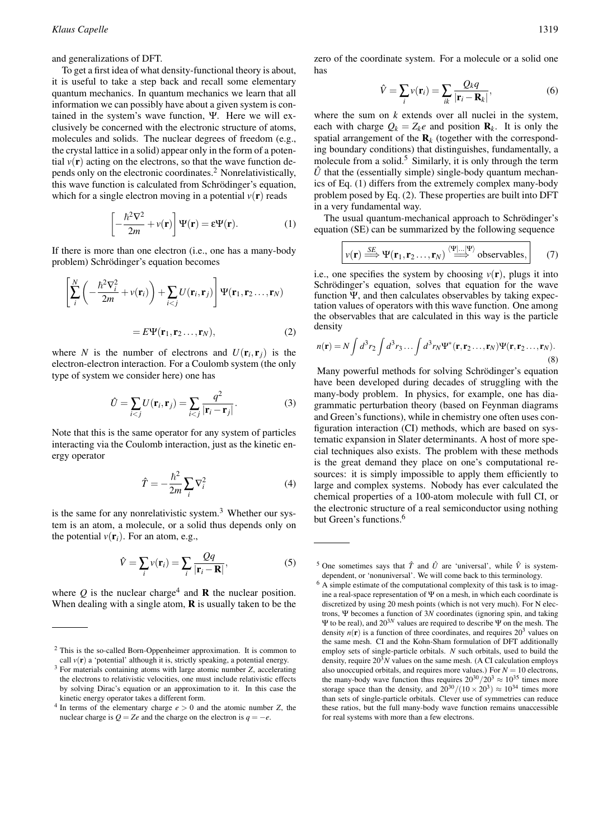and generalizations of DFT.

To get a first idea of what density-functional theory is about, it is useful to take a step back and recall some elementary quantum mechanics. In quantum mechanics we learn that all information we can possibly have about a given system is contained in the system's wave function, Ψ. Here we will exclusively be concerned with the electronic structure of atoms, molecules and solids. The nuclear degrees of freedom (e.g., the crystal lattice in a solid) appear only in the form of a potential  $v(\mathbf{r})$  acting on the electrons, so that the wave function depends only on the electronic coordinates.<sup>2</sup> Nonrelativistically, this wave function is calculated from Schrödinger's equation, which for a single electron moving in a potential  $v(\mathbf{r})$  reads

$$
\left[-\frac{\hbar^2 \nabla^2}{2m} + v(\mathbf{r})\right] \Psi(\mathbf{r}) = \varepsilon \Psi(\mathbf{r}).
$$
 (1)

If there is more than one electron (i.e., one has a many-body problem) Schrödinger's equation becomes

$$
\left[\sum_{i}^{N}\left(-\frac{\hbar^{2}\nabla_{i}^{2}}{2m} + v(\mathbf{r}_{i})\right) + \sum_{i < j} U(\mathbf{r}_{i}, \mathbf{r}_{j})\right] \Psi(\mathbf{r}_{1}, \mathbf{r}_{2} \dots, \mathbf{r}_{N})
$$
\n
$$
= E\Psi(\mathbf{r}_{1}, \mathbf{r}_{2} \dots, \mathbf{r}_{N}), \tag{2}
$$

where *N* is the number of electrons and  $U(\mathbf{r}_i, \mathbf{r}_j)$  is the electron-electron interaction. For a Coulomb system (the only type of system we consider here) one has

$$
\hat{U} = \sum_{i < j} U(\mathbf{r}_i, \mathbf{r}_j) = \sum_{i < j} \frac{q^2}{|\mathbf{r}_i - \mathbf{r}_j|}.\tag{3}
$$

Note that this is the same operator for any system of particles interacting via the Coulomb interaction, just as the kinetic energy operator

$$
\hat{T} = -\frac{\hbar^2}{2m} \sum_{i} \nabla_i^2
$$
\n(4)

is the same for any nonrelativistic system.<sup>3</sup> Whether our system is an atom, a molecule, or a solid thus depends only on the potential  $v(\mathbf{r}_i)$ . For an atom, e.g.,

$$
\hat{V} = \sum_{i} v(\mathbf{r}_i) = \sum_{i} \frac{Qq}{|\mathbf{r}_i - \mathbf{R}|},
$$
\n(5)

where  $Q$  is the nuclear charge<sup>4</sup> and **R** the nuclear position. When dealing with a single atom,  $\bf{R}$  is usually taken to be the zero of the coordinate system. For a molecule or a solid one has

$$
\hat{V} = \sum_{i} v(\mathbf{r}_{i}) = \sum_{ik} \frac{Q_{k}q}{|\mathbf{r}_{i} - \mathbf{R}_{k}|},
$$
\n(6)

where the sum on  $k$  extends over all nuclei in the system, each with charge  $Q_k = Z_k e$  and position  $\mathbf{R}_k$ . It is only the spatial arrangement of the  $\mathbf{R}_k$  (together with the corresponding boundary conditions) that distinguishes, fundamentally, a molecule from a solid.<sup>5</sup> Similarly, it is only through the term  $\hat{U}$  that the (essentially simple) single-body quantum mechanics of Eq. (1) differs from the extremely complex many-body problem posed by Eq. (2). These properties are built into DFT in a very fundamental way.

The usual quantum-mechanical approach to Schrödinger's equation (SE) can be summarized by the following sequence

$$
v(\mathbf{r}) \stackrel{SE}{\Longrightarrow} \Psi(\mathbf{r}_1, \mathbf{r}_2 \dots, \mathbf{r}_N) \stackrel{\langle \Psi | \dots | \Psi \rangle}{\Longrightarrow} \text{observables}, \tag{7}
$$

i.e., one specifies the system by choosing  $v(\mathbf{r})$ , plugs it into Schrödinger's equation, solves that equation for the wave function Ψ, and then calculates observables by taking expectation values of operators with this wave function. One among the observables that are calculated in this way is the particle density

$$
n(\mathbf{r}) = N \int d^3 r_2 \int d^3 r_3 \dots \int d^3 r_N \Psi^*(\mathbf{r}, \mathbf{r}_2 \dots, \mathbf{r}_N) \Psi(\mathbf{r}, \mathbf{r}_2 \dots, \mathbf{r}_N).
$$
\n(8)

Many powerful methods for solving Schrödinger's equation have been developed during decades of struggling with the many-body problem. In physics, for example, one has diagrammatic perturbation theory (based on Feynman diagrams and Green's functions), while in chemistry one often uses configuration interaction (CI) methods, which are based on systematic expansion in Slater determinants. A host of more special techniques also exists. The problem with these methods is the great demand they place on one's computational resources: it is simply impossible to apply them efficiently to large and complex systems. Nobody has ever calculated the chemical properties of a 100-atom molecule with full CI, or the electronic structure of a real semiconductor using nothing but Green's functions.<sup>6</sup>

<sup>2</sup> This is the so-called Born-Oppenheimer approximation. It is common to call  $v(\mathbf{r})$  a 'potential' although it is, strictly speaking, a potential energy.

<sup>3</sup> For materials containing atoms with large atomic number *Z*, accelerating the electrons to relativistic velocities, one must include relativistic effects by solving Dirac's equation or an approximation to it. In this case the kinetic energy operator takes a different form.

<sup>&</sup>lt;sup>4</sup> In terms of the elementary charge  $e > 0$  and the atomic number *Z*, the nuclear charge is  $Q = Ze$  and the charge on the electron is  $q = -e$ .

<sup>&</sup>lt;sup>5</sup> One sometimes says that  $\hat{T}$  and  $\hat{U}$  are 'universal', while  $\hat{V}$  is systemdependent, or 'nonuniversal'. We will come back to this terminology.

 $6$  A simple estimate of the computational complexity of this task is to imagine a real-space representation of  $\Psi$  on a mesh, in which each coordinate is discretized by using 20 mesh points (which is not very much). For N electrons, Ψ becomes a function of 3*N* coordinates (ignoring spin, and taking Ψ to be real), and 203*<sup>N</sup>* values are required to describe Ψ on the mesh. The density  $n(\mathbf{r})$  is a function of three coordinates, and requires  $20^3$  values on the same mesh. CI and the Kohn-Sham formulation of DFT additionally employ sets of single-particle orbitals. *N* such orbitals, used to build the density, require  $20^3N$  values on the same mesh. (A CI calculation employs also unoccupied orbitals, and requires more values.) For  $N = 10$  electrons, the many-body wave function thus requires  $20^{30}/20^3 \approx 10^{35}$  times more storage space than the density, and  $20^{30} / (10 \times 20^3) \approx 10^{34}$  times more than sets of single-particle orbitals. Clever use of symmetries can reduce these ratios, but the full many-body wave function remains unaccessible for real systems with more than a few electrons.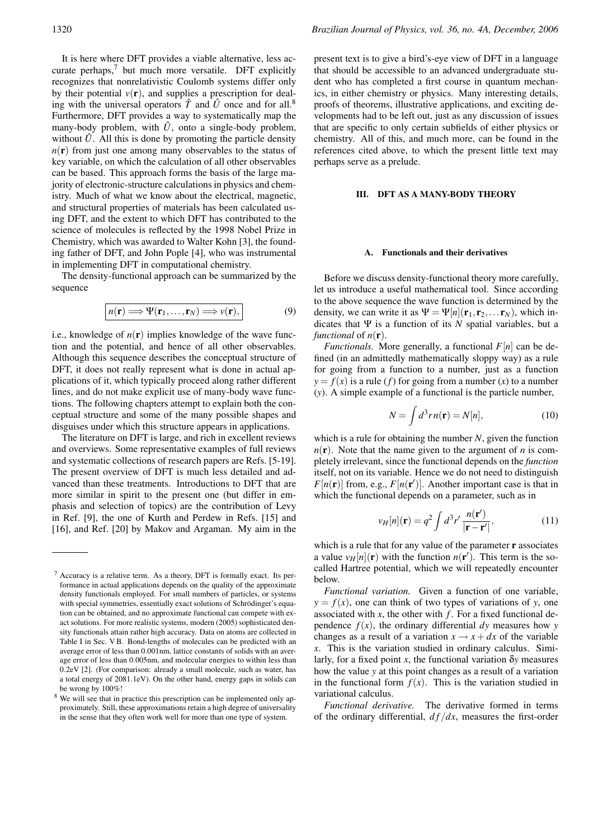It is here where DFT provides a viable alternative, less accurate perhaps, $\frac{7}{7}$  but much more versatile. DFT explicitly recognizes that nonrelativistic Coulomb systems differ only by their potential  $v(\mathbf{r})$ , and supplies a prescription for dealing with the universal operators  $\hat{T}$  and  $\hat{U}$  once and for all.<sup>8</sup> Furthermore, DFT provides a way to systematically map the many-body problem, with  $\hat{U}$ , onto a single-body problem, without  $\hat{U}$ . All this is done by promoting the particle density  $n(r)$  from just one among many observables to the status of key variable, on which the calculation of all other observables can be based. This approach forms the basis of the large majority of electronic-structure calculations in physics and chemistry. Much of what we know about the electrical, magnetic, and structural properties of materials has been calculated using DFT, and the extent to which DFT has contributed to the science of molecules is reflected by the 1998 Nobel Prize in Chemistry, which was awarded to Walter Kohn [3], the founding father of DFT, and John Pople [4], who was instrumental in implementing DFT in computational chemistry.

The density-functional approach can be summarized by the sequence

$$
n(\mathbf{r}) \Longrightarrow \Psi(\mathbf{r}_1, \dots, \mathbf{r}_N) \Longrightarrow \nu(\mathbf{r}), \qquad (9)
$$

i.e., knowledge of  $n(r)$  implies knowledge of the wave function and the potential, and hence of all other observables. Although this sequence describes the conceptual structure of DFT, it does not really represent what is done in actual applications of it, which typically proceed along rather different lines, and do not make explicit use of many-body wave functions. The following chapters attempt to explain both the conceptual structure and some of the many possible shapes and disguises under which this structure appears in applications.

The literature on DFT is large, and rich in excellent reviews and overviews. Some representative examples of full reviews and systematic collections of research papers are Refs. [5-19]. The present overview of DFT is much less detailed and advanced than these treatments. Introductions to DFT that are more similar in spirit to the present one (but differ in emphasis and selection of topics) are the contribution of Levy in Ref. [9], the one of Kurth and Perdew in Refs. [15] and [16], and Ref. [20] by Makov and Argaman. My aim in the

present text is to give a bird's-eye view of DFT in a language that should be accessible to an advanced undergraduate student who has completed a first course in quantum mechanics, in either chemistry or physics. Many interesting details, proofs of theorems, illustrative applications, and exciting developments had to be left out, just as any discussion of issues that are specific to only certain subfields of either physics or chemistry. All of this, and much more, can be found in the references cited above, to which the present little text may perhaps serve as a prelude.

## III. DFT AS A MANY-BODY THEORY

#### A. Functionals and their derivatives

Before we discuss density-functional theory more carefully, let us introduce a useful mathematical tool. Since according to the above sequence the wave function is determined by the density, we can write it as  $\Psi = \Psi[n](\mathbf{r}_1, \mathbf{r}_2, \dots \mathbf{r}_N)$ , which indicates that Ψ is a function of its *N* spatial variables, but a *functional* of  $n(\mathbf{r})$ .

*Functionals.* More generally, a functional  $F[n]$  can be defined (in an admittedly mathematically sloppy way) as a rule for going from a function to a number, just as a function  $y = f(x)$  is a rule (*f*) for going from a number (*x*) to a number (*y*). A simple example of a functional is the particle number,

$$
N = \int d^3r n(\mathbf{r}) = N[n],\tag{10}
$$

which is a rule for obtaining the number *N*, given the function  $n(r)$ . Note that the name given to the argument of *n* is completely irrelevant, since the functional depends on the *function* itself, not on its variable. Hence we do not need to distinguish  $F[n(\mathbf{r})]$  from, e.g.,  $F[n(\mathbf{r}')]$ . Another important case is that in which the functional depends on a parameter, such as in

$$
v_H[n](\mathbf{r}) = q^2 \int d^3 r' \frac{n(\mathbf{r'})}{|\mathbf{r} - \mathbf{r'}|},\tag{11}
$$

which is a rule that for any value of the parameter  $\bf{r}$  associates a value  $v_H[n](\mathbf{r})$  with the function  $n(\mathbf{r}')$ . This term is the socalled Hartree potential, which we will repeatedly encounter below.

*Functional variation.* Given a function of one variable,  $y = f(x)$ , one can think of two types of variations of *y*, one associated with  $x$ , the other with  $f$ . For a fixed functional dependence  $f(x)$ , the ordinary differential  $dy$  measures how *y* changes as a result of a variation  $x \rightarrow x + dx$  of the variable *x*. This is the variation studied in ordinary calculus. Similarly, for a fixed point *x*, the functional variation  $\delta y$  measures how the value *y* at this point changes as a result of a variation in the functional form  $f(x)$ . This is the variation studied in variational calculus.

*Functional derivative.* The derivative formed in terms of the ordinary differential, *d f* /*dx*, measures the first-order

<sup>7</sup> Accuracy is a relative term. As a theory, DFT is formally exact. Its performance in actual applications depends on the quality of the approximate density functionals employed. For small numbers of particles, or systems with special symmetries, essentially exact solutions of Schrödinger's equation can be obtained, and no approximate functional can compete with exact solutions. For more realistic systems, modern (2005) sophisticated density functionals attain rather high accuracy. Data on atoms are collected in Table I in Sec. V B. Bond-lengths of molecules can be predicted with an average error of less than 0.001nm, lattice constants of solids with an average error of less than 0.005nm, and molecular energies to within less than 0.2eV [2]. (For comparison: already a small molecule, such as water, has a total energy of 2081.1eV). On the other hand, energy gaps in solids can be wrong by 100%!

<sup>&</sup>lt;sup>8</sup> We will see that in practice this prescription can be implemented only approximately. Still, these approximations retain a high degree of universality in the sense that they often work well for more than one type of system.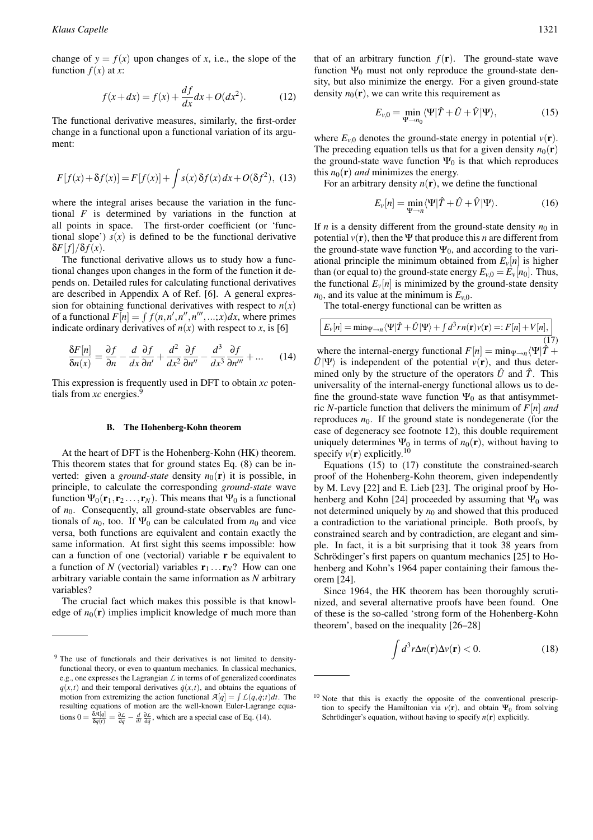change of  $y = f(x)$  upon changes of *x*, i.e., the slope of the function  $f(x)$  at *x*:

$$
f(x+dx) = f(x) + \frac{df}{dx}dx + O(dx^2).
$$
 (12)

The functional derivative measures, similarly, the first-order change in a functional upon a functional variation of its argument:

$$
F[f(x) + \delta f(x)] = F[f(x)] + \int s(x)\,\delta f(x)\,dx + O(\delta f^2), \tag{13}
$$

where the integral arises because the variation in the functional *F* is determined by variations in the function at all points in space. The first-order coefficient (or 'functional slope')  $s(x)$  is defined to be the functional derivative  $\delta$ *F*[*f*]/ $\delta$ *f*(*x*).

The functional derivative allows us to study how a functional changes upon changes in the form of the function it depends on. Detailed rules for calculating functional derivatives are described in Appendix A of Ref. [6]. A general expression for obtaining functional derivatives with respect to  $n(x)$ of a functional  $F[n] = \int f(n, n', n'', n''', \ldots; x) dx$ , where primes indicate ordinary derivatives of  $n(x)$  with respect to *x*, is [6]

$$
\frac{\delta F[n]}{\delta n(x)} = \frac{\partial f}{\partial n} - \frac{d}{dx}\frac{\partial f}{\partial n'} + \frac{d^2}{dx^2}\frac{\partial f}{\partial n''} - \frac{d^3}{dx^3}\frac{\partial f}{\partial n''} + \dots \tag{14}
$$

This expression is frequently used in DFT to obtain *xc* potentials from *xc* energies.

#### B. The Hohenberg-Kohn theorem

At the heart of DFT is the Hohenberg-Kohn (HK) theorem. This theorem states that for ground states Eq. (8) can be inverted: given a *ground-state* density  $n_0(\mathbf{r})$  it is possible, in principle, to calculate the corresponding *ground-state* wave function  $\Psi_0(\mathbf{r}_1, \mathbf{r}_2 \dots, \mathbf{r}_N)$ . This means that  $\Psi_0$  is a functional of *n*0. Consequently, all ground-state observables are functionals of  $n_0$ , too. If  $\Psi_0$  can be calculated from  $n_0$  and vice versa, both functions are equivalent and contain exactly the same information. At first sight this seems impossible: how can a function of one (vectorial) variable r be equivalent to a function of *N* (vectorial) variables  $\mathbf{r}_1 \dots \mathbf{r}_N$ ? How can one arbitrary variable contain the same information as *N* arbitrary variables?

The crucial fact which makes this possible is that knowledge of  $n_0(\mathbf{r})$  implies implicit knowledge of much more than

that of an arbitrary function  $f(\mathbf{r})$ . The ground-state wave function  $\Psi_0$  must not only reproduce the ground-state density, but also minimize the energy. For a given ground-state density  $n_0(\mathbf{r})$ , we can write this requirement as

$$
E_{\nu,0} = \min_{\Psi \to n_0} \langle \Psi | \hat{T} + \hat{U} + \hat{V} | \Psi \rangle, \tag{15}
$$

where  $E_{v,0}$  denotes the ground-state energy in potential  $v(\mathbf{r})$ . The preceding equation tells us that for a given density  $n_0(\mathbf{r})$ the ground-state wave function  $\Psi_0$  is that which reproduces this  $n_0(\mathbf{r})$  *and* minimizes the energy.

For an arbitrary density  $n(r)$ , we define the functional

$$
E_{\nu}[n] = \min_{\Psi \to n} \langle \Psi | \hat{T} + \hat{U} + \hat{V} | \Psi \rangle.
$$
 (16)

If *n* is a density different from the ground-state density  $n_0$  in potential  $v(\mathbf{r})$ , then the Ψ that produce this *n* are different from the ground-state wave function  $\Psi_0$ , and according to the variational principle the minimum obtained from  $E_{\nu}[n]$  is higher than (or equal to) the ground-state energy  $E_{\nu,0} = E_{\nu}[n_0]$ . Thus, the functional  $E_\nu[n]$  is minimized by the ground-state density  $n_0$ , and its value at the minimum is  $E_{\nu,0}$ .

The total-energy functional can be written as

$$
E_{\nu}[n] = \min_{\Psi \to n} \langle \Psi | \hat{T} + \hat{U} | \Psi \rangle + \int d^3 r n(\mathbf{r}) \nu(\mathbf{r}) =: F[n] + V[n],
$$
\n(17)

where the internal-energy functional  $F[n] = \min_{\Psi \to n} \langle \Psi | T + \Psi |^2 \rangle$  $\hat{U}|\Psi\rangle$  is independent of the potential  $v(\mathbf{r})$ , and thus determined only by the structure of the operators  $\hat{U}$  and  $\hat{T}$ . This universality of the internal-energy functional allows us to define the ground-state wave function  $\Psi_0$  as that antisymmetric *N*-particle function that delivers the minimum of  $F[n]$  and reproduces  $n_0$ . If the ground state is nondegenerate (for the case of degeneracy see footnote 12), this double requirement uniquely determines  $\Psi_0$  in terms of  $n_0(\mathbf{r})$ , without having to specify  $v(\mathbf{r})$  explicitly.<sup>10</sup>

Equations (15) to (17) constitute the constrained-search proof of the Hohenberg-Kohn theorem, given independently by M. Levy [22] and E. Lieb [23]. The original proof by Hohenberg and Kohn [24] proceeded by assuming that  $\Psi_0$  was not determined uniquely by  $n_0$  and showed that this produced a contradiction to the variational principle. Both proofs, by constrained search and by contradiction, are elegant and simple. In fact, it is a bit surprising that it took 38 years from Schrödinger's first papers on quantum mechanics [25] to Hohenberg and Kohn's 1964 paper containing their famous theorem [24].

Since 1964, the HK theorem has been thoroughly scrutinized, and several alternative proofs have been found. One of these is the so-called 'strong form of the Hohenberg-Kohn theorem', based on the inequality [26–28]

$$
\int d^3r \Delta n(\mathbf{r}) \Delta \nu(\mathbf{r}) < 0. \tag{18}
$$

<sup>&</sup>lt;sup>9</sup> The use of functionals and their derivatives is not limited to densityfunctional theory, or even to quantum mechanics. In classical mechanics, e.g., one expresses the Lagrangian  $\mathcal L$  in terms of of generalized coordinates  $q(x,t)$  and their temporal derivatives  $\dot{q}(x,t)$ , and obtains the equations of  $q(x,t)$  and then temporal derivatives  $q(x,t)$ , and obtains the equations of motion from extremizing the action functional  $A[q] = \int L(q,\dot{q};t)dt$ . The resulting equations of motion are the well-known Euler-Lagrange equations  $0 = \frac{\delta \mathcal{A}[q]}{\delta q(t)} = \frac{\partial \mathcal{L}}{\partial q} - \frac{d}{dt} \frac{\partial \mathcal{L}}{\partial \dot{q}}$ , which are a special case of Eq. (14).

 $10$  Note that this is exactly the opposite of the conventional prescription to specify the Hamiltonian via  $v(\mathbf{r})$ , and obtain  $\Psi_0$  from solving Schrödinger's equation, without having to specify  $n(\mathbf{r})$  explicitly.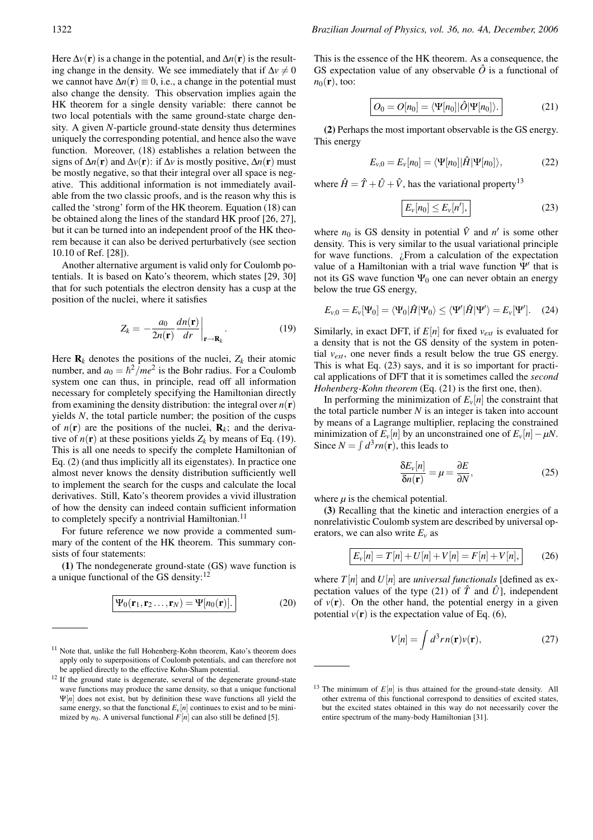Here  $\Delta v(\mathbf{r})$  is a change in the potential, and  $\Delta n(\mathbf{r})$  is the resulting change in the density. We see immediately that if  $\Delta v \neq 0$ we cannot have  $\Delta n(\mathbf{r}) \equiv 0$ , i.e., a change in the potential must also change the density. This observation implies again the HK theorem for a single density variable: there cannot be two local potentials with the same ground-state charge density. A given *N*-particle ground-state density thus determines uniquely the corresponding potential, and hence also the wave function. Moreover, (18) establishes a relation between the signs of  $\Delta n(\mathbf{r})$  and  $\Delta v(\mathbf{r})$ : if  $\Delta v$  is mostly positive,  $\Delta n(\mathbf{r})$  must be mostly negative, so that their integral over all space is negative. This additional information is not immediately available from the two classic proofs, and is the reason why this is called the 'strong' form of the HK theorem. Equation (18) can be obtained along the lines of the standard HK proof [26, 27], but it can be turned into an independent proof of the HK theorem because it can also be derived perturbatively (see section 10.10 of Ref. [28]).

Another alternative argument is valid only for Coulomb potentials. It is based on Kato's theorem, which states [29, 30] that for such potentials the electron density has a cusp at the position of the nuclei, where it satisfies

$$
Z_k = -\frac{a_0}{2n(\mathbf{r})} \frac{dn(\mathbf{r})}{dr} \bigg|_{\mathbf{r} \to \mathbf{R}_k}.
$$
 (19)

Here  $\mathbf{R}_k$  denotes the positions of the nuclei,  $Z_k$  their atomic number, and  $a_0 = \hbar^2/m e^2$  is the Bohr radius. For a Coulomb system one can thus, in principle, read off all information necessary for completely specifying the Hamiltonian directly from examining the density distribution: the integral over  $n(\mathbf{r})$ yields *N*, the total particle number; the position of the cusps of  $n(\mathbf{r})$  are the positions of the nuclei,  $\mathbf{R}_k$ ; and the derivative of  $n(\mathbf{r})$  at these positions yields  $Z_k$  by means of Eq. (19). This is all one needs to specify the complete Hamiltonian of Eq. (2) (and thus implicitly all its eigenstates). In practice one almost never knows the density distribution sufficiently well to implement the search for the cusps and calculate the local derivatives. Still, Kato's theorem provides a vivid illustration of how the density can indeed contain sufficient information to completely specify a nontrivial Hamiltonian.<sup>11</sup>

For future reference we now provide a commented summary of the content of the HK theorem. This summary consists of four statements:

(1) The nondegenerate ground-state (GS) wave function is a unique functional of the GS density:<sup>12</sup>

$$
\Psi_0(\mathbf{r}_1, \mathbf{r}_2 \dots, \mathbf{r}_N) = \Psi[n_0(\mathbf{r})]. \tag{20}
$$

This is the essence of the HK theorem. As a consequence, the GS expectation value of any observable  $\hat{O}$  is a functional of  $n_0(\mathbf{r})$ , too:

$$
O_0 = O[n_0] = \langle \Psi[n_0] | \hat{O} | \Psi[n_0] \rangle.
$$
 (21)

(2) Perhaps the most important observable is the GS energy. This energy

$$
E_{\nu,0} = E_{\nu}[n_0] = \langle \Psi[n_0] | \hat{H} | \Psi[n_0] \rangle, \qquad (22)
$$

where  $\hat{H} = \hat{T} + \hat{U} + \hat{V}$ , has the variational property<sup>13</sup>

$$
E_{\nu}[n_0] \le E_{\nu}[n'], \qquad (23)
$$

where  $n_0$  is GS density in potential  $\hat{V}$  and  $n'$  is some other density. This is very similar to the usual variational principle for wave functions.  $\zeta$ From a calculation of the expectation value of a Hamiltonian with a trial wave function  $\Psi'$  that is not its GS wave function  $\Psi_0$  one can never obtain an energy below the true GS energy,

$$
E_{\nu,0}=E_{\nu}[\Psi_0]=\langle\Psi_0|\hat{H}|\Psi_0\rangle\leq\langle\Psi'|\hat{H}|\Psi'\rangle=E_{\nu}[\Psi'].\quad (24)
$$

Similarly, in exact DFT, if  $E[n]$  for fixed  $v_{ext}$  is evaluated for a density that is not the GS density of the system in potential  $v_{ext}$ , one never finds a result below the true GS energy. This is what Eq. (23) says, and it is so important for practical applications of DFT that it is sometimes called the *second Hohenberg-Kohn theorem* (Eq. (21) is the first one, then).

In performing the minimization of  $E_\nu[n]$  the constraint that the total particle number  $N$  is an integer is taken into account by means of a Lagrange multiplier, replacing the constrained minimization of  $E_v[n]$  by an unconstrained one of  $E_v[n] - \mu N$ . Since  $N = \int d^3r n(\mathbf{r})$ , this leads to

$$
\frac{\delta E_{\nu}[n]}{\delta n(\mathbf{r})} = \mu = \frac{\partial E}{\partial N},\tag{25}
$$

where  $\mu$  is the chemical potential.

(3) Recalling that the kinetic and interaction energies of a nonrelativistic Coulomb system are described by universal operators, we can also write  $E_v$  as

$$
E_{\nu}[n] = T[n] + U[n] + V[n] = F[n] + V[n], \tag{26}
$$

where  $T[n]$  and  $U[n]$  are *universal functionals* [defined as expectation values of the type (21) of  $\hat{T}$  and  $\hat{U}$ ], independent of  $v(\mathbf{r})$ . On the other hand, the potential energy in a given potential  $v(\mathbf{r})$  is the expectation value of Eq. (6),

$$
V[n] = \int d^3r n(\mathbf{r}) v(\mathbf{r}),\tag{27}
$$

<sup>&</sup>lt;sup>11</sup> Note that, unlike the full Hohenberg-Kohn theorem, Kato's theorem does apply only to superpositions of Coulomb potentials, and can therefore not be applied directly to the effective Kohn-Sham potential.

<sup>&</sup>lt;sup>12</sup> If the ground state is degenerate, several of the degenerate ground-state wave functions may produce the same density, so that a unique functional Ψ[*n*] does not exist, but by definition these wave functions all yield the same energy, so that the functional  $E_{\nu}[n]$  continues to exist and to be minimized by  $n_0$ . A universal functional  $F[n]$  can also still be defined [5].

<sup>&</sup>lt;sup>13</sup> The minimum of  $E[n]$  is thus attained for the ground-state density. All other extrema of this functional correspond to densities of excited states, but the excited states obtained in this way do not necessarily cover the entire spectrum of the many-body Hamiltonian [31].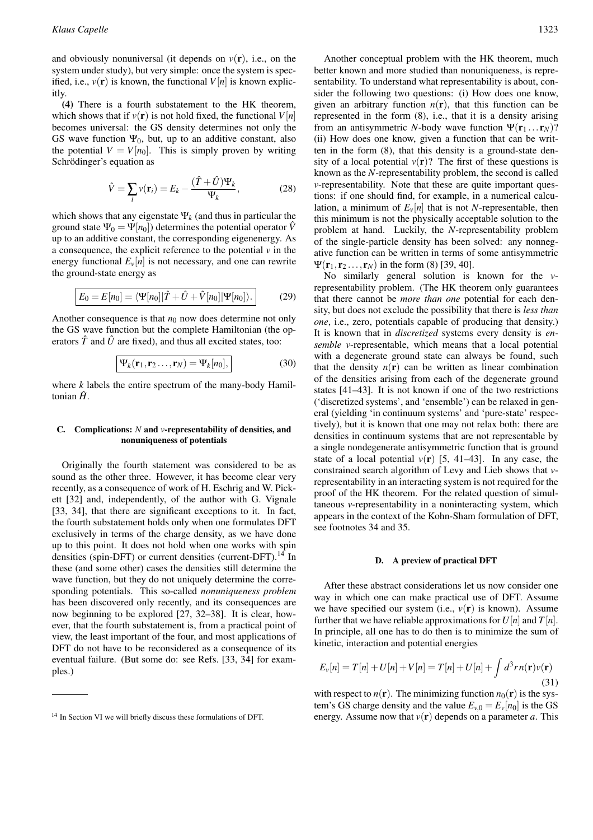and obviously nonuniversal (it depends on  $v(\mathbf{r})$ , i.e., on the system under study), but very simple: once the system is specified, i.e.,  $v(\mathbf{r})$  is known, the functional  $V[n]$  is known explicitly.

(4) There is a fourth substatement to the HK theorem, which shows that if  $v(\mathbf{r})$  is not hold fixed, the functional  $V[n]$ becomes universal: the GS density determines not only the GS wave function  $\Psi_0$ , but, up to an additive constant, also the potential  $V = V[n_0]$ . This is simply proven by writing Schrödinger's equation as

$$
\hat{V} = \sum_{i} v(\mathbf{r}_{i}) = E_{k} - \frac{(\hat{T} + \hat{U})\Psi_{k}}{\Psi_{k}},
$$
\n(28)

which shows that any eigenstate  $\Psi_k$  (and thus in particular the ground state  $\Psi_0 = \Psi[n_0]$ ) determines the potential operator  $\hat{V}$ up to an additive constant, the corresponding eigenenergy. As a consequence, the explicit reference to the potential  $\nu$  in the energy functional  $E_v[n]$  is not necessary, and one can rewrite the ground-state energy as

$$
E_0 = E[n_0] = \langle \Psi[n_0] | \hat{T} + \hat{U} + \hat{V}[n_0] | \Psi[n_0] \rangle.
$$
 (29)

Another consequence is that  $n_0$  now does determine not only the GS wave function but the complete Hamiltonian (the operators  $\hat{T}$  and  $\hat{U}$  are fixed), and thus all excited states, too:

$$
\Psi_k(\mathbf{r}_1, \mathbf{r}_2 \dots, \mathbf{r}_N) = \Psi_k[n_0],
$$
\n(30)

where *k* labels the entire spectrum of the many-body Hamiltonian  $\hat{H}$ .

## C. Complications: *N* and *v*-representability of densities, and nonuniqueness of potentials

Originally the fourth statement was considered to be as sound as the other three. However, it has become clear very recently, as a consequence of work of H. Eschrig and W. Pickett [32] and, independently, of the author with G. Vignale [33, 34], that there are significant exceptions to it. In fact, the fourth substatement holds only when one formulates DFT exclusively in terms of the charge density, as we have done up to this point. It does not hold when one works with spin densities (spin-DFT) or current densities (current-DFT).<sup>14</sup> In these (and some other) cases the densities still determine the wave function, but they do not uniquely determine the corresponding potentials. This so-called *nonuniqueness problem* has been discovered only recently, and its consequences are now beginning to be explored [27, 32–38]. It is clear, however, that the fourth substatement is, from a practical point of view, the least important of the four, and most applications of DFT do not have to be reconsidered as a consequence of its eventual failure. (But some do: see Refs. [33, 34] for examples.)

Another conceptual problem with the HK theorem, much better known and more studied than nonuniqueness, is representability. To understand what representability is about, consider the following two questions: (i) How does one know, given an arbitrary function  $n(r)$ , that this function can be represented in the form (8), i.e., that it is a density arising from an antisymmetric *N*-body wave function  $\Psi(\mathbf{r}_1 \dots \mathbf{r}_N)$ ? (ii) How does one know, given a function that can be written in the form (8), that this density is a ground-state density of a local potential  $v(r)$ ? The first of these questions is known as the *N*-representability problem, the second is called *v*-representability. Note that these are quite important questions: if one should find, for example, in a numerical calculation, a minimum of  $E_\nu[n]$  that is not *N*-representable, then this minimum is not the physically acceptable solution to the problem at hand. Luckily, the *N*-representability problem of the single-particle density has been solved: any nonnegative function can be written in terms of some antisymmetric  $\Psi({\bf r}_1, {\bf r}_2 \ldots, {\bf r}_N)$  in the form (8) [39, 40].

No similarly general solution is known for the *v*representability problem. (The HK theorem only guarantees that there cannot be *more than one* potential for each density, but does not exclude the possibility that there is *less than one*, i.e., zero, potentials capable of producing that density.) It is known that in *discretized* systems every density is *ensemble v*-representable, which means that a local potential with a degenerate ground state can always be found, such that the density  $n(r)$  can be written as linear combination of the densities arising from each of the degenerate ground states [41–43]. It is not known if one of the two restrictions ('discretized systems', and 'ensemble') can be relaxed in general (yielding 'in continuum systems' and 'pure-state' respectively), but it is known that one may not relax both: there are densities in continuum systems that are not representable by a single nondegenerate antisymmetric function that is ground state of a local potential  $v(r)$  [5, 41–43]. In any case, the constrained search algorithm of Levy and Lieb shows that *v*representability in an interacting system is not required for the proof of the HK theorem. For the related question of simultaneous *v*-representability in a noninteracting system, which appears in the context of the Kohn-Sham formulation of DFT, see footnotes 34 and 35.

## D. A preview of practical DFT

After these abstract considerations let us now consider one way in which one can make practical use of DFT. Assume we have specified our system (i.e.,  $v(\mathbf{r})$  is known). Assume further that we have reliable approximations for  $U[n]$  and  $T[n]$ . In principle, all one has to do then is to minimize the sum of kinetic, interaction and potential energies

$$
E_{\nu}[n] = T[n] + U[n] + V[n] = T[n] + U[n] + \int d^3r n(\mathbf{r}) \nu(\mathbf{r})
$$
\n(31)

with respect to  $n(\mathbf{r})$ . The minimizing function  $n_0(\mathbf{r})$  is the system's GS charge density and the value  $E_{\nu,0} = E_{\nu}[n_0]$  is the GS energy. Assume now that  $v(\mathbf{r})$  depends on a parameter *a*. This

<sup>&</sup>lt;sup>14</sup> In Section VI we will briefly discuss these formulations of DFT.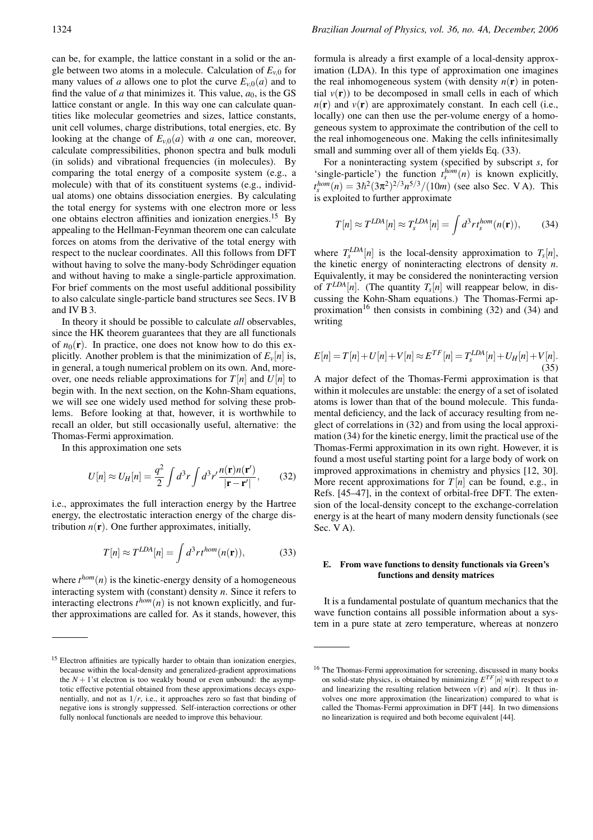can be, for example, the lattice constant in a solid or the angle between two atoms in a molecule. Calculation of  $E_{v,0}$  for many values of *a* allows one to plot the curve  $E_{\nu,0}(a)$  and to find the value of  $a$  that minimizes it. This value,  $a_0$ , is the GS lattice constant or angle. In this way one can calculate quantities like molecular geometries and sizes, lattice constants, unit cell volumes, charge distributions, total energies, etc. By looking at the change of  $E_{v,0}(a)$  with *a* one can, moreover, calculate compressibilities, phonon spectra and bulk moduli (in solids) and vibrational frequencies (in molecules). By comparing the total energy of a composite system (e.g., a molecule) with that of its constituent systems (e.g., individual atoms) one obtains dissociation energies. By calculating the total energy for systems with one electron more or less one obtains electron affinities and ionization energies.<sup>15</sup> By appealing to the Hellman-Feynman theorem one can calculate forces on atoms from the derivative of the total energy with respect to the nuclear coordinates. All this follows from DFT without having to solve the many-body Schrödinger equation and without having to make a single-particle approximation. For brief comments on the most useful additional possibility to also calculate single-particle band structures see Secs. IV B and IV B 3.

In theory it should be possible to calculate *all* observables, since the HK theorem guarantees that they are all functionals of  $n_0(r)$ . In practice, one does not know how to do this explicitly. Another problem is that the minimization of  $E_\nu[n]$  is, in general, a tough numerical problem on its own. And, moreover, one needs reliable approximations for  $T[n]$  and  $U[n]$  to begin with. In the next section, on the Kohn-Sham equations, we will see one widely used method for solving these problems. Before looking at that, however, it is worthwhile to recall an older, but still occasionally useful, alternative: the Thomas-Fermi approximation.

In this approximation one sets

$$
U[n] \approx U_H[n] = \frac{q^2}{2} \int d^3r \int d^3r' \frac{n(\mathbf{r})n(\mathbf{r'})}{|\mathbf{r} - \mathbf{r'}|},\qquad(32)
$$

i.e., approximates the full interaction energy by the Hartree energy, the electrostatic interaction energy of the charge distribution  $n(r)$ . One further approximates, initially,

$$
T[n] \approx T^{LDA}[n] = \int d^3r \, t^{hom}(n(\mathbf{r})),\tag{33}
$$

where  $t^{hom}(n)$  is the kinetic-energy density of a homogeneous interacting system with (constant) density *n*. Since it refers to interacting electrons  $t^{hom}(n)$  is not known explicitly, and further approximations are called for. As it stands, however, this formula is already a first example of a local-density approximation (LDA). In this type of approximation one imagines the real inhomogeneous system (with density  $n(r)$  in potential  $v(\mathbf{r})$  to be decomposed in small cells in each of which  $n(\mathbf{r})$  and  $v(\mathbf{r})$  are approximately constant. In each cell (i.e., locally) one can then use the per-volume energy of a homogeneous system to approximate the contribution of the cell to the real inhomogeneous one. Making the cells infinitesimally small and summing over all of them yields Eq.  $(33)$ .

For a noninteracting system (specified by subscript *s*, for 'single-particle') the function  $t_s^{hom}(n)$  is known explicitly,  $t_s^{hom}(n) = 3\hbar^2 (3\pi^2)^{2/3} n^{5/3} / (10m)$  (see also Sec. V A). This is exploited to further approximate

$$
T[n] \approx T^{LDA}[n] \approx T_s^{LDA}[n] = \int d^3r t_s^{hom}(n(\mathbf{r})),\tag{34}
$$

where  $T_s^{LDA}[n]$  is the local-density approximation to  $T_s[n]$ , the kinetic energy of noninteracting electrons of density *n*. Equivalently, it may be considered the noninteracting version of  $T^{LDA}[n]$ . (The quantity  $T_s[n]$  will reappear below, in discussing the Kohn-Sham equations.) The Thomas-Fermi approximation<sup>16</sup> then consists in combining  $(32)$  and  $(34)$  and writing

$$
E[n] = T[n] + U[n] + V[n] \approx E^{TF}[n] = T_s^{LDA}[n] + U_H[n] + V[n].
$$
\n(35)

A major defect of the Thomas-Fermi approximation is that within it molecules are unstable: the energy of a set of isolated atoms is lower than that of the bound molecule. This fundamental deficiency, and the lack of accuracy resulting from neglect of correlations in (32) and from using the local approximation (34) for the kinetic energy, limit the practical use of the Thomas-Fermi approximation in its own right. However, it is found a most useful starting point for a large body of work on improved approximations in chemistry and physics [12, 30]. More recent approximations for  $T[n]$  can be found, e.g., in Refs. [45–47], in the context of orbital-free DFT. The extension of the local-density concept to the exchange-correlation energy is at the heart of many modern density functionals (see Sec. V A).

# E. From wave functions to density functionals via Green's functions and density matrices

It is a fundamental postulate of quantum mechanics that the wave function contains all possible information about a system in a pure state at zero temperature, whereas at nonzero

<sup>&</sup>lt;sup>15</sup> Electron affinities are typically harder to obtain than ionization energies, because within the local-density and generalized-gradient approximations the  $N + 1$ 'st electron is too weakly bound or even unbound: the asymptotic effective potential obtained from these approximations decays exponentially, and not as  $1/r$ , i.e., it approaches zero so fast that binding of negative ions is strongly suppressed. Self-interaction corrections or other fully nonlocal functionals are needed to improve this behaviour.

<sup>&</sup>lt;sup>16</sup> The Thomas-Fermi approximation for screening, discussed in many books on solid-state physics, is obtained by minimizing  $E^{TF}[n]$  with respect to *n* and linearizing the resulting relation between  $v(\mathbf{r})$  and  $n(\mathbf{r})$ . It thus involves one more approximation (the linearization) compared to what is called the Thomas-Fermi approximation in DFT [44]. In two dimensions no linearization is required and both become equivalent [44].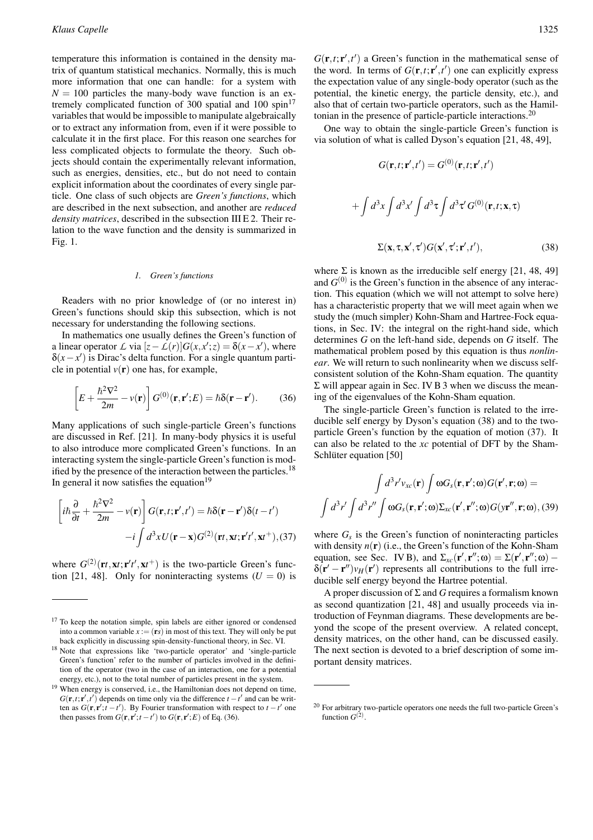temperature this information is contained in the density matrix of quantum statistical mechanics. Normally, this is much more information that one can handle: for a system with  $N = 100$  particles the many-body wave function is an extremely complicated function of 300 spatial and 100 spin<sup>17</sup> variables that would be impossible to manipulate algebraically or to extract any information from, even if it were possible to calculate it in the first place. For this reason one searches for less complicated objects to formulate the theory. Such objects should contain the experimentally relevant information, such as energies, densities, etc., but do not need to contain explicit information about the coordinates of every single particle. One class of such objects are *Green's functions*, which are described in the next subsection, and another are *reduced density matrices*, described in the subsection III E 2. Their relation to the wave function and the density is summarized in Fig. 1.

#### *1. Green's functions*

Readers with no prior knowledge of (or no interest in) Green's functions should skip this subsection, which is not necessary for understanding the following sections.

In mathematics one usually defines the Green's function of a linear operator  $\mathcal L$  via  $[z - \mathcal L(r)]G(x, x'; z) = \delta(x - x')$ , where  $\delta(x-x')$  is Dirac's delta function. For a single quantum particle in potential  $v(\mathbf{r})$  one has, for example,

$$
\[E + \frac{\hbar^2 \nabla^2}{2m} - v(\mathbf{r})\] G^{(0)}(\mathbf{r}, \mathbf{r}'; E) = \hbar \delta(\mathbf{r} - \mathbf{r}'). \tag{36}
$$

Many applications of such single-particle Green's functions are discussed in Ref. [21]. In many-body physics it is useful to also introduce more complicated Green's functions. In an interacting system the single-particle Green's function is modified by the presence of the interaction between the particles.<sup>18</sup> In general it now satisfies the equation $19$ 

$$
\left[i\hbar\frac{\partial}{\partial t} + \frac{\hbar^2 \nabla^2}{2m} - v(\mathbf{r})\right] G(\mathbf{r}, t; \mathbf{r}', t') = \hbar \delta(\mathbf{r} - \mathbf{r}') \delta(t - t')
$$

$$
-i \int d^3x U(\mathbf{r} - \mathbf{x}) G^{(2)}(\mathbf{r}t, \mathbf{x}t; \mathbf{r}'t', \mathbf{x}t^+), (37)
$$

where  $G^{(2)}(\mathbf{r}t,\mathbf{x}t;\mathbf{r}'t',\mathbf{x}t^+)$  is the two-particle Green's function [21, 48]. Only for noninteracting systems  $(U = 0)$  is

 $G(\mathbf{r}, t; \mathbf{r}', t')$  a Green's function in the mathematical sense of the word. In terms of  $G(\mathbf{r}, t; \mathbf{r}', t')$  one can explicitly express the expectation value of any single-body operator (such as the potential, the kinetic energy, the particle density, etc.), and also that of certain two-particle operators, such as the Hamiltonian in the presence of particle-particle interactions.<sup>20</sup>

One way to obtain the single-particle Green's function is via solution of what is called Dyson's equation [21, 48, 49],

$$
G(\mathbf{r},t;\mathbf{r}',t') = G^{(0)}(\mathbf{r},t;\mathbf{r}',t')
$$

$$
+ \int d^3x \int d^3x' \int d^3\tau \int d^3\tau' G^{(0)}(\mathbf{r},t;\mathbf{x},\tau)
$$

$$
\Sigma(\mathbf{x},\tau,\mathbf{x}',\tau')G(\mathbf{x}',\tau';\mathbf{r}',t'), \qquad (38)
$$

where  $\Sigma$  is known as the irreducible self energy [21, 48, 49] and  $G^{(0)}$  is the Green's function in the absence of any interaction. This equation (which we will not attempt to solve here) has a characteristic property that we will meet again when we study the (much simpler) Kohn-Sham and Hartree-Fock equations, in Sec. IV: the integral on the right-hand side, which determines *G* on the left-hand side, depends on *G* itself. The mathematical problem posed by this equation is thus *nonlinear*. We will return to such nonlinearity when we discuss selfconsistent solution of the Kohn-Sham equation. The quantity Σ will appear again in Sec. IV B 3 when we discuss the meaning of the eigenvalues of the Kohn-Sham equation.

The single-particle Green's function is related to the irreducible self energy by Dyson's equation (38) and to the twoparticle Green's function by the equation of motion (37). It can also be related to the *xc* potential of DFT by the Sham-Schlüter equation [50]

$$
\int d^3r' v_{xc}(\mathbf{r}) \int \omega G_s(\mathbf{r}, \mathbf{r}'; \omega) G(\mathbf{r}', \mathbf{r}; \omega) =
$$

$$
\int d^3r' \int d^3r'' \int \omega G_s(\mathbf{r}, \mathbf{r}'; \omega) \Sigma_{xc}(\mathbf{r}', \mathbf{r}''; \omega) G(\mathbf{y} \mathbf{r}'', \mathbf{r}; \omega), (39)
$$

where  $G_s$  is the Green's function of noninteracting particles with density  $n(r)$  (i.e., the Green's function of the Kohn-Sham equation, see Sec. IV B), and  $\Sigma_{xc}(\mathbf{r}', \mathbf{r}''; \omega) = \Sigma(\mathbf{r}', \mathbf{r}''; \omega)$  –  $\delta(\mathbf{r}' - \mathbf{r}'')v_H(\mathbf{r}')$  represents all contributions to the full irreducible self energy beyond the Hartree potential.

A proper discussion of Σ and *G* requires a formalism known as second quantization [21, 48] and usually proceeds via introduction of Feynman diagrams. These developments are beyond the scope of the present overview. A related concept, density matrices, on the other hand, can be discussed easily. The next section is devoted to a brief description of some important density matrices.

 $17$  To keep the notation simple, spin labels are either ignored or condensed into a common variable  $x := (\mathbf{r}s)$  in most of this text. They will only be put back explicitly in discussing spin-density-functional theory, in Sec. VI.

<sup>18</sup> Note that expressions like 'two-particle operator' and 'single-particle Green's function' refer to the number of particles involved in the definition of the operator (two in the case of an interaction, one for a potential energy, etc.), not to the total number of particles present in the system.

<sup>&</sup>lt;sup>19</sup> When energy is conserved, i.e., the Hamiltonian does not depend on time,  $G(\mathbf{r}, t; \mathbf{r}', t')$  depends on time only via the difference  $t - t'$  and can be written as  $G(\mathbf{r}, \mathbf{r}'; t - t')$ . By Fourier transformation with respect to  $t - t'$  one then passes from  $G(\mathbf{r}, \mathbf{r}'; t - t')$  to  $G(\mathbf{r}, \mathbf{r}'; E)$  of Eq. (36).

<sup>&</sup>lt;sup>20</sup> For arbitrary two-particle operators one needs the full two-particle Green's function  $G^{(2)}$ .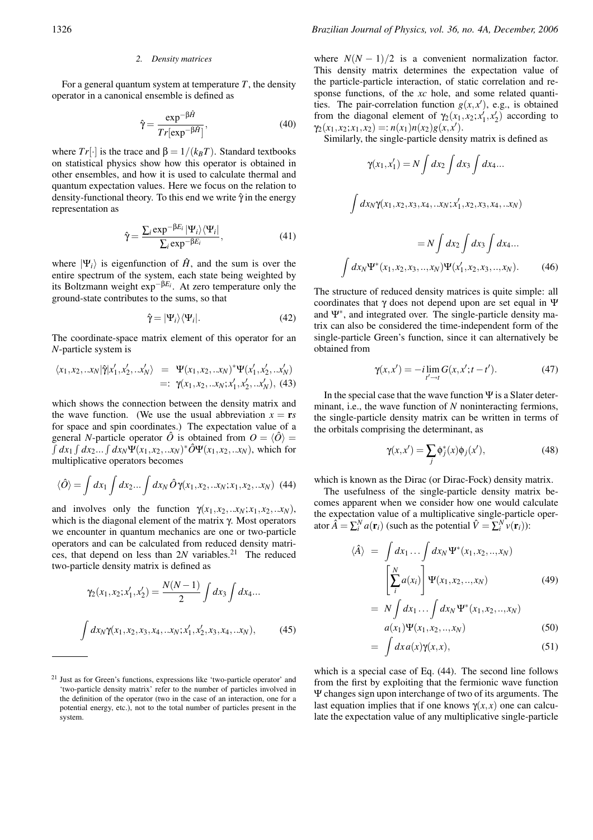### *2. Density matrices*

For a general quantum system at temperature *T*, the density operator in a canonical ensemble is defined as

$$
\hat{\gamma} = \frac{\exp^{-\beta \hat{H}}}{Tr[\exp^{-\beta \hat{H}}]},
$$
\n(40)

where  $Tr[\cdot]$  is the trace and  $\beta = 1/(k_B T)$ . Standard textbooks on statistical physics show how this operator is obtained in other ensembles, and how it is used to calculate thermal and quantum expectation values. Here we focus on the relation to density-functional theory. To this end we write  $\hat{\gamma}$  in the energy representation as

$$
\hat{\gamma} = \frac{\sum_{i} \exp^{-\beta E_{i}} |\Psi_{i}\rangle \langle \Psi_{i}|}{\sum_{i} \exp^{-\beta E_{i}}},
$$
\n(41)

where  $|\Psi_i\rangle$  is eigenfunction of  $\hat{H}$ , and the sum is over the entire spectrum of the system, each state being weighted by its Boltzmann weight exp−β*E<sup>i</sup>* . At zero temperature only the ground-state contributes to the sums, so that

$$
\hat{\gamma} = |\Psi_i\rangle\langle\Psi_i|.\tag{42}
$$

The coordinate-space matrix element of this operator for an *N*-particle system is

$$
\langle x_1, x_2, ... x_N | \hat{\gamma} | x'_1, x'_2, ... x'_N \rangle = \Psi(x_1, x_2, ... x_N)^* \Psi(x'_1, x'_2, ... x'_N)
$$
  
=:  $\gamma(x_1, x_2, ... x_N; x'_1, x'_2, ... x'_N),$  (43)

which shows the connection between the density matrix and the wave function. (We use the usual abbreviation  $x = rs$ for space and spin coordinates.) The expectation value of a general *N*-particle operator  $\hat{O}$  is obtained from  $O = \langle \hat{O} \rangle =$  $dx_1 \int dx_2... \int dx_N \Psi(x_1, x_2, ...x_N)$ <sup>\*</sup> $\hat{\partial} \Psi(x_1, x_2, ...x_N)$ , which for multiplicative operators becomes

$$
\langle \hat{O} \rangle = \int dx_1 \int dx_2 \dots \int dx_N \hat{O} \gamma(x_1, x_2, \dots x_N; x_1, x_2, \dots x_N) \tag{44}
$$

and involves only the function  $\gamma(x_1, x_2, \ldots, x_N; x_1, x_2, \ldots, x_N)$ , which is the diagonal element of the matrix γ. Most operators we encounter in quantum mechanics are one or two-particle operators and can be calculated from reduced density matrices, that depend on less than 2N variables.<sup>21</sup> The reduced two-particle density matrix is defined as

$$
\gamma_2(x_1, x_2; x_1', x_2') = \frac{N(N-1)}{2} \int dx_3 \int dx_4...
$$

$$
\int dx_N \gamma(x_1, x_2, x_3, x_4, ... x_N; x_1', x_2', x_3, x_4, ... x_N), \qquad (45)
$$

where  $N(N-1)/2$  is a convenient normalization factor. This density matrix determines the expectation value of the particle-particle interaction, of static correlation and response functions, of the *xc* hole, and some related quantities. The pair-correlation function  $g(x, x')$ , e.g., is obtained from the diagonal element of  $\gamma_2(x_1, x_2; x_1', x_2')$  according to  $\gamma_2(x_1, x_2; x_1, x_2) =: n(x_1)n(x_2)g(x, x').$ 

Similarly, the single-particle density matrix is defined as

$$
\gamma(x_1, x_1') = N \int dx_2 \int dx_3 \int dx_4 ...
$$
  

$$
\int dx_N \gamma(x_1, x_2, x_3, x_4, ... x_N; x_1', x_2, x_3, x_4, ... x_N)
$$
  

$$
= N \int dx_2 \int dx_3 \int dx_4 ...
$$
  

$$
dx_N \Psi^*(x_1, x_2, x_3, ... , x_N) \Psi(x_1', x_2, x_3, ... , x_N).
$$
 (46)

The structure of reduced density matrices is quite simple: all coordinates that  $\gamma$  does not depend upon are set equal in  $\Psi$ and Ψ<sup>∗</sup> , and integrated over. The single-particle density matrix can also be considered the time-independent form of the single-particle Green's function, since it can alternatively be obtained from

$$
\gamma(x, x') = -i \lim_{t' \to t} G(x, x'; t - t'). \tag{47}
$$

In the special case that the wave function  $\Psi$  is a Slater determinant, i.e., the wave function of *N* noninteracting fermions, the single-particle density matrix can be written in terms of the orbitals comprising the determinant, as

$$
\gamma(x, x') = \sum_{j} \phi_j^*(x) \phi_j(x'), \qquad (48)
$$

which is known as the Dirac (or Dirac-Fock) density matrix.

The usefulness of the single-particle density matrix becomes apparent when we consider how one would calculate the expectation value of a multiplicative single-particle operator  $\hat{A} = \sum_{i}^{N} a(\mathbf{r}_i)$  (such as the potential  $\hat{V} = \sum_{i}^{N} v(\mathbf{r}_i)$ ):

$$
\langle \hat{A} \rangle = \int dx_1 \dots \int dx_N \Psi^*(x_1, x_2, \dots, x_N)
$$

$$
\left[ \sum_i^N a(x_i) \right] \Psi(x_1, x_2, \dots, x_N) \tag{49}
$$

$$
= N \int dx_1 \dots \int dx_N \Psi^*(x_1, x_2, \dots, x_N)
$$

$$
= N \int dx_1 \dots \int dx_N \Psi^*(x_1, x_2, ..., x_N)
$$
  
\n
$$
a(x_1)\Psi(x_1, x_2, ..., x_N)
$$
\n(50)

$$
= \int dx a(x)\gamma(x, x), \qquad (51)
$$

which is a special case of Eq. (44). The second line follows from the first by exploiting that the fermionic wave function Ψ changes sign upon interchange of two of its arguments. The last equation implies that if one knows  $\gamma(x,x)$  one can calculate the expectation value of any multiplicative single-particle

<sup>21</sup> Just as for Green's functions, expressions like 'two-particle operator' and 'two-particle density matrix' refer to the number of particles involved in the definition of the operator (two in the case of an interaction, one for a potential energy, etc.), not to the total number of particles present in the system.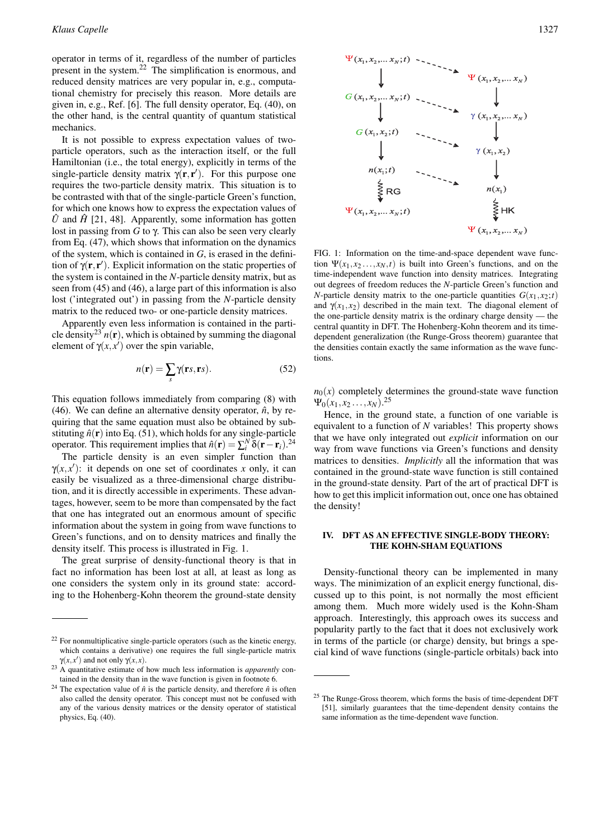operator in terms of it, regardless of the number of particles present in the system.<sup>22</sup> The simplification is enormous, and reduced density matrices are very popular in, e.g., computational chemistry for precisely this reason. More details are given in, e.g., Ref. [6]. The full density operator, Eq. (40), on the other hand, is the central quantity of quantum statistical mechanics.

It is not possible to express expectation values of twoparticle operators, such as the interaction itself, or the full Hamiltonian (i.e., the total energy), explicitly in terms of the single-particle density matrix  $\gamma(\mathbf{r}, \mathbf{r}')$ . For this purpose one requires the two-particle density matrix. This situation is to be contrasted with that of the single-particle Green's function, for which one knows how to express the expectation values of  $U$  and  $H$ <sup>[21, 48]. Apparently, some information has gotten</sup> lost in passing from *G* to γ. This can also be seen very clearly from Eq. (47), which shows that information on the dynamics of the system, which is contained in *G*, is erased in the definition of  $\gamma(\mathbf{r}, \mathbf{r}')$ . Explicit information on the static properties of the system is contained in the *N*-particle density matrix, but as seen from (45) and (46), a large part of this information is also lost ('integrated out') in passing from the *N*-particle density matrix to the reduced two- or one-particle density matrices.

Apparently even less information is contained in the particle density<sup>23</sup>  $n(r)$ , which is obtained by summing the diagonal element of  $\gamma(x, x')$  over the spin variable,

$$
n(\mathbf{r}) = \sum_{s} \gamma(\mathbf{r}s, \mathbf{r}s).
$$
 (52)

This equation follows immediately from comparing (8) with (46). We can define an alternative density operator,  $\hat{n}$ , by requiring that the same equation must also be obtained by substituting  $\hat{n}(\mathbf{r})$  into Eq. (51), which holds for any single-particle operator. This requirement implies that  $\hat{n}(\mathbf{r}) = \sum_{i}^{N} \delta(\mathbf{r} - \mathbf{r}_i)^{24}$ 

The particle density is an even simpler function than  $\gamma(x, x')$ : it depends on one set of coordinates *x* only, it can easily be visualized as a three-dimensional charge distribution, and it is directly accessible in experiments. These advantages, however, seem to be more than compensated by the fact that one has integrated out an enormous amount of specific information about the system in going from wave functions to Green's functions, and on to density matrices and finally the density itself. This process is illustrated in Fig. 1.

The great surprise of density-functional theory is that in fact no information has been lost at all, at least as long as one considers the system only in its ground state: according to the Hohenberg-Kohn theorem the ground-state density



FIG. 1: Information on the time-and-space dependent wave function  $\Psi(x_1, x_2, \ldots, x_N, t)$  is built into Green's functions, and on the time-independent wave function into density matrices. Integrating out degrees of freedom reduces the *N*-particle Green's function and *N*-particle density matrix to the one-particle quantities  $G(x_1, x_2; t)$ and  $\gamma(x_1, x_2)$  described in the main text. The diagonal element of the one-particle density matrix is the ordinary charge density — the central quantity in DFT. The Hohenberg-Kohn theorem and its timedependent generalization (the Runge-Gross theorem) guarantee that the densities contain exactly the same information as the wave functions.

 $n_0(x)$  completely determines the ground-state wave function  $\Psi_0(x_1, x_2 \ldots, x_N)$ .<sup>25</sup>

Hence, in the ground state, a function of one variable is equivalent to a function of *N* variables! This property shows that we have only integrated out *explicit* information on our way from wave functions via Green's functions and density matrices to densities. *Implicitly* all the information that was contained in the ground-state wave function is still contained in the ground-state density. Part of the art of practical DFT is how to get this implicit information out, once one has obtained the density!

# IV. DFT AS AN EFFECTIVE SINGLE-BODY THEORY: THE KOHN-SHAM EQUATIONS

Density-functional theory can be implemented in many ways. The minimization of an explicit energy functional, discussed up to this point, is not normally the most efficient among them. Much more widely used is the Kohn-Sham approach. Interestingly, this approach owes its success and popularity partly to the fact that it does not exclusively work in terms of the particle (or charge) density, but brings a special kind of wave functions (single-particle orbitals) back into

<sup>22</sup> For nonmultiplicative single-particle operators (such as the kinetic energy, which contains a derivative) one requires the full single-particle matrix *γ*(*x*, *x*<sup>'</sup>) and not only *γ*(*x*, *x*).

<sup>&</sup>lt;sup>23</sup> A quantitative estimate of how much less information is *apparently* contained in the density than in the wave function is given in footnote 6.

<sup>&</sup>lt;sup>24</sup> The expectation value of  $\hat{n}$  is the particle density, and therefore  $\hat{n}$  is often also called the density operator. This concept must not be confused with any of the various density matrices or the density operator of statistical physics, Eq. (40).

<sup>&</sup>lt;sup>25</sup> The Runge-Gross theorem, which forms the basis of time-dependent DFT [51], similarly guarantees that the time-dependent density contains the same information as the time-dependent wave function.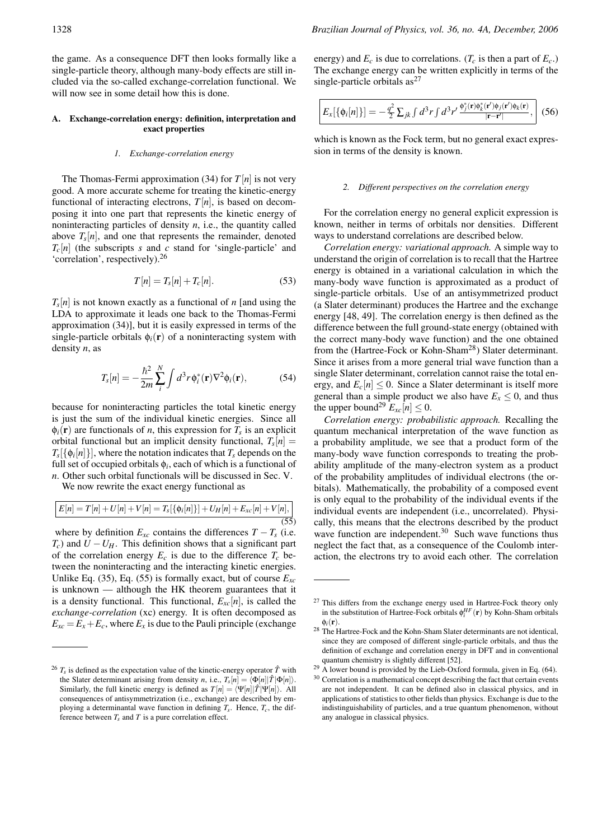the game. As a consequence DFT then looks formally like a single-particle theory, although many-body effects are still included via the so-called exchange-correlation functional. We will now see in some detail how this is done.

## A. Exchange-correlation energy: definition, interpretation and exact properties

### *1. Exchange-correlation energy*

The Thomas-Fermi approximation (34) for  $T[n]$  is not very good. A more accurate scheme for treating the kinetic-energy functional of interacting electrons,  $T[n]$ , is based on decomposing it into one part that represents the kinetic energy of noninteracting particles of density *n*, i.e., the quantity called above  $T_s[n]$ , and one that represents the remainder, denoted  $T_c[n]$  (the subscripts *s* and *c* stand for 'single-particle' and 'correlation', respectively).<sup>26</sup>

$$
T[n] = T_s[n] + T_c[n].\tag{53}
$$

 $T_s[n]$  is not known exactly as a functional of *n* [and using the LDA to approximate it leads one back to the Thomas-Fermi approximation (34)], but it is easily expressed in terms of the single-particle orbitals  $\phi_i(\mathbf{r})$  of a noninteracting system with density *n*, as

$$
T_s[n] = -\frac{\hbar^2}{2m} \sum_{i}^{N} \int d^3 r \phi_i^*(\mathbf{r}) \nabla^2 \phi_i(\mathbf{r}), \qquad (54)
$$

because for noninteracting particles the total kinetic energy is just the sum of the individual kinetic energies. Since all  $\phi_i(\mathbf{r})$  are functionals of *n*, this expression for  $T_s$  is an explicit orbital functional but an implicit density functional,  $T_s[n] =$  $T_s[\{\phi_i[n]\}]$ , where the notation indicates that  $T_s$  depends on the full set of occupied orbitals  $\phi_i$ , each of which is a functional of *n*. Other such orbital functionals will be discussed in Sec. V.

We now rewrite the exact energy functional as

$$
E[n] = T[n] + U[n] + V[n] = T_s[\{\phi_i[n]\}] + U_H[n] + E_{xc}[n] + V[n],
$$
\n(55)

where by definition  $E_{xc}$  contains the differences  $T - T_s$  (i.e.  $T_c$ ) and  $U - U_H$ . This definition shows that a significant part of the correlation energy  $E_c$  is due to the difference  $T_c$  between the noninteracting and the interacting kinetic energies. Unlike Eq. (35), Eq. (55) is formally exact, but of course *Exc* is unknown — although the HK theorem guarantees that it is a density functional. This functional,  $E_{xc}[n]$ , is called the *exchange-correlation* (xc) energy. It is often decomposed as  $E_{xc} = E_x + E_c$ , where  $E_x$  is due to the Pauli principle (exchange energy) and  $E_c$  is due to correlations. ( $T_c$  is then a part of  $E_c$ .) The exchange energy can be written explicitly in terms of the single-particle orbitals  $as<sup>27</sup>$ 

$$
E_x[\{\phi_i[n]\}] = -\frac{q^2}{2} \sum_{jk} \int d^3r \int d^3r' \frac{\phi_i^*(\mathbf{r}) \phi_k^*(\mathbf{r}') \phi_i(\mathbf{r}') \phi_k(\mathbf{r})}{|\mathbf{r} - \mathbf{r}'|}, \quad (56)
$$

which is known as the Fock term, but no general exact expression in terms of the density is known.

### *2. Different perspectives on the correlation energy*

For the correlation energy no general explicit expression is known, neither in terms of orbitals nor densities. Different ways to understand correlations are described below.

*Correlation energy: variational approach.* A simple way to understand the origin of correlation is to recall that the Hartree energy is obtained in a variational calculation in which the many-body wave function is approximated as a product of single-particle orbitals. Use of an antisymmetrized product (a Slater determinant) produces the Hartree and the exchange energy [48, 49]. The correlation energy is then defined as the difference between the full ground-state energy (obtained with the correct many-body wave function) and the one obtained from the (Hartree-Fock or Kohn-Sham<sup>28</sup>) Slater determinant. Since it arises from a more general trial wave function than a single Slater determinant, correlation cannot raise the total energy, and  $E_c[n] \leq 0$ . Since a Slater determinant is itself more general than a simple product we also have  $E_x \le 0$ , and thus the upper bound<sup>29</sup>  $E_{xc}[n] \leq 0$ .

*Correlation energy: probabilistic approach.* Recalling the quantum mechanical interpretation of the wave function as a probability amplitude, we see that a product form of the many-body wave function corresponds to treating the probability amplitude of the many-electron system as a product of the probability amplitudes of individual electrons (the orbitals). Mathematically, the probability of a composed event is only equal to the probability of the individual events if the individual events are independent (i.e., uncorrelated). Physically, this means that the electrons described by the product wave function are independent.<sup>30</sup> Such wave functions thus neglect the fact that, as a consequence of the Coulomb interaction, the electrons try to avoid each other. The correlation

 $^{26}T_s$  is defined as the expectation value of the kinetic-energy operator  $\hat{T}$  with the Slater determinant arising from density *n*, i.e.,  $T_s[n] = \langle \Phi[n] | \hat{T} | \Phi[n] \rangle$ . Similarly, the full kinetic energy is defined as  $T[n] = \langle \Psi[n] | \hat{T} | \Psi[n] \rangle$ . All consequences of antisymmetrization (i.e., exchange) are described by employing a determinantal wave function in defining  $T_s$ . Hence,  $T_c$ , the difference between *T<sup>s</sup>* and *T* is a pure correlation effect.

<sup>&</sup>lt;sup>27</sup> This differs from the exchange energy used in Hartree-Fock theory only in the substitution of Hartree-Fock orbitals  $\phi_i^{HF}(\mathbf{r})$  by Kohn-Sham orbitals φ*i*(r).

<sup>&</sup>lt;sup>28</sup> The Hartree-Fock and the Kohn-Sham Slater determinants are not identical, since they are composed of different single-particle orbitals, and thus the definition of exchange and correlation energy in DFT and in conventional quantum chemistry is slightly different [52].

<sup>&</sup>lt;sup>29</sup> A lower bound is provided by the Lieb-Oxford formula, given in Eq. (64).

<sup>30</sup> Correlation is a mathematical concept describing the fact that certain events are not independent. It can be defined also in classical physics, and in applications of statistics to other fields than physics. Exchange is due to the indistinguishability of particles, and a true quantum phenomenon, without any analogue in classical physics.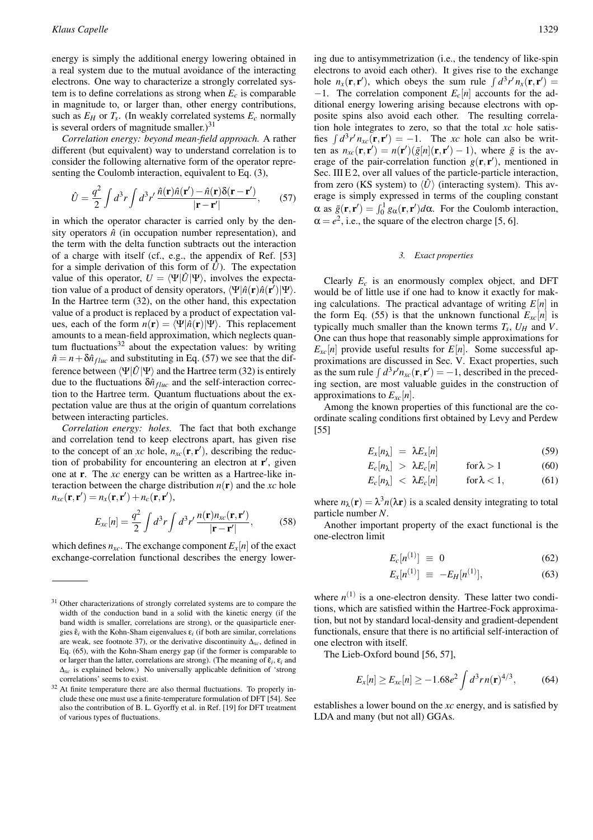energy is simply the additional energy lowering obtained in a real system due to the mutual avoidance of the interacting electrons. One way to characterize a strongly correlated system is to define correlations as strong when  $E_c$  is comparable in magnitude to, or larger than, other energy contributions, such as  $E_H$  or  $T_s$ . (In weakly correlated systems  $E_c$  normally is several orders of magnitude smaller.) $31$ 

*Correlation energy: beyond mean-field approach.* A rather different (but equivalent) way to understand correlation is to consider the following alternative form of the operator representing the Coulomb interaction, equivalent to Eq. (3),

$$
\hat{U} = \frac{q^2}{2} \int d^3r \int d^3r' \frac{\hat{n}(\mathbf{r})\hat{n}(\mathbf{r}') - \hat{n}(\mathbf{r})\delta(\mathbf{r} - \mathbf{r}')}{|\mathbf{r} - \mathbf{r}'|},\qquad(57)
$$

in which the operator character is carried only by the density operators  $\hat{n}$  (in occupation number representation), and the term with the delta function subtracts out the interaction of a charge with itself (cf., e.g., the appendix of Ref. [53] for a simple derivation of this form of  $\tilde{U}$ ). The expectation value of this operator,  $U = \langle \Psi | \hat{U} | \Psi \rangle$ , involves the expectation value of a product of density operators,  $\langle \Psi | \hat{n}(\mathbf{r}) | \hat{n}(\mathbf{r'}) | \Psi \rangle$ . In the Hartree term (32), on the other hand, this expectation value of a product is replaced by a product of expectation values, each of the form  $n(\mathbf{r}) = \langle \Psi | \hat{n}(\mathbf{r}) | \Psi \rangle$ . This replacement amounts to a mean-field approximation, which neglects quantum fluctuations<sup>32</sup> about the expectation values: by writing  $\hat{n} = n + \delta \hat{n}_{fluc}$  and substituting in Eq. (57) we see that the difference between  $\langle \Psi | \hat{U} | \Psi \rangle$  and the Hartree term (32) is entirely due to the fluctuations  $\delta \hat{n}_{fluc}$  and the self-interaction correction to the Hartree term. Quantum fluctuations about the expectation value are thus at the origin of quantum correlations between interacting particles.

*Correlation energy: holes.* The fact that both exchange and correlation tend to keep electrons apart, has given rise to the concept of an *xc* hole,  $n_{xc}(\mathbf{r}, \mathbf{r}')$ , describing the reduction of probability for encountering an electron at  $\mathbf{r}'$ , given one at r. The *xc* energy can be written as a Hartree-like interaction between the charge distribution  $n(r)$  and the *xc* hole  $n_{xc}(\mathbf{r}, \mathbf{r}') = n_{x}(\mathbf{r}, \mathbf{r}') + n_{c}(\mathbf{r}, \mathbf{r}'),$ 

$$
E_{xc}[n] = \frac{q^2}{2} \int d^3r \int d^3r' \frac{n(\mathbf{r})n_{xc}(\mathbf{r}, \mathbf{r'})}{|\mathbf{r} - \mathbf{r'}|},
$$
(58)

which defines  $n_{xc}$ . The exchange component  $E_x[n]$  of the exact exchange-correlation functional describes the energy lowering due to antisymmetrization (i.e., the tendency of like-spin electrons to avoid each other). It gives rise to the exchange electrons to avoid each other). It gives rise to the exchange<br>hole  $n_x(\mathbf{r}, \mathbf{r}')$ , which obeys the sum rule  $\int d^3r' n_x(\mathbf{r}, \mathbf{r}') =$  $-1$ . The correlation component  $E_c[n]$  accounts for the additional energy lowering arising because electrons with opposite spins also avoid each other. The resulting correlation hole integrates to zero, so that the total *xc* hole satisfies  $\int d^3r' n_{xc}(\mathbf{r}, \mathbf{r}') = -1$ . The *xc* hole can also be written as  $n_{xc}(\mathbf{r}, \mathbf{r}') = n(\mathbf{r}')(\bar{g}[n](\mathbf{r}, \mathbf{r}') - 1)$ , where  $\bar{g}$  is the average of the pair-correlation function  $g(\mathbf{r}, \mathbf{r}')$ , mentioned in Sec. III E 2, over all values of the particle-particle interaction, from zero (KS system) to  $\langle \hat{U} \rangle$  (interacting system). This average is simply expressed in terms of the coupling constant  $\alpha$  as  $\bar{g}(\mathbf{r}, \mathbf{r}') = \int_0^1 g_\alpha(\mathbf{r}, \mathbf{r}') d\alpha$ . For the Coulomb interaction,  $\alpha = e^2$ , i.e., the square of the electron charge [5, 6].

#### *3. Exact properties*

Clearly *E<sup>c</sup>* is an enormously complex object, and DFT would be of little use if one had to know it exactly for making calculations. The practical advantage of writing  $E[n]$  in the form Eq. (55) is that the unknown functional  $E_{xc}[n]$  is typically much smaller than the known terms  $T_s$ ,  $U_H$  and  $V$ . One can thus hope that reasonably simple approximations for  $E_{xc}[n]$  provide useful results for  $E[n]$ . Some successful approximations are discussed in Sec. V. Exact properties, such proximations are discussed in sec. v. Exact properties, such<br>as the sum rule  $\int d^3r' n_{xc}(\mathbf{r}, \mathbf{r}') = -1$ , described in the preceding section, are most valuable guides in the construction of approximations to  $E_{xc}[n]$ .

Among the known properties of this functional are the coordinate scaling conditions first obtained by Levy and Perdew [55]

$$
E_x[n_\lambda] = \lambda E_x[n] \tag{59}
$$

$$
E_c[n_\lambda] > \lambda E_c[n] \quad \text{for } \lambda > 1 \tag{60}
$$

$$
E_c[n_\lambda] < \lambda E_c[n] \quad \text{for } \lambda < 1,\tag{61}
$$

where  $n_{\lambda}(\mathbf{r}) = \lambda^3 n(\lambda \mathbf{r})$  is a scaled density integrating to total particle number *N*.

Another important property of the exact functional is the one-electron limit

$$
E_c[n^{(1)}] \equiv 0 \tag{62}
$$

$$
E_x[n^{(1)}] \equiv -E_H[n^{(1)}], \tag{63}
$$

where  $n^{(1)}$  is a one-electron density. These latter two conditions, which are satisfied within the Hartree-Fock approximation, but not by standard local-density and gradient-dependent functionals, ensure that there is no artificial self-interaction of one electron with itself.

The Lieb-Oxford bound [56, 57],

$$
E_x[n] \ge E_{xc}[n] \ge -1.68e^2 \int d^3rn(\mathbf{r})^{4/3},\tag{64}
$$

establishes a lower bound on the *xc* energy, and is satisfied by LDA and many (but not all) GGAs.

<sup>&</sup>lt;sup>31</sup> Other characterizations of strongly correlated systems are to compare the width of the conduction band in a solid with the kinetic energy (if the band width is smaller, correlations are strong), or the quasiparticle energies  $\tilde{\varepsilon}_i$  with the Kohn-Sham eigenvalues  $\varepsilon_i$  (if both are similar, correlations are weak, see footnote 37), or the derivative discontinuity  $\Delta_{rc}$ , defined in Eq. (65), with the Kohn-Sham energy gap (if the former is comparable to or larger than the latter, correlations are strong). (The meaning of  $\tilde{\varepsilon}_i$ ,  $\varepsilon_i$  and ∆*xc* is explained below.) No universally applicable definition of 'strong correlations' seems to exist.

<sup>&</sup>lt;sup>32</sup> At finite temperature there are also thermal fluctuations. To properly include these one must use a finite-temperature formulation of DFT [54]. See also the contribution of B. L. Gyorffy et al. in Ref. [19] for DFT treatment of various types of fluctuations.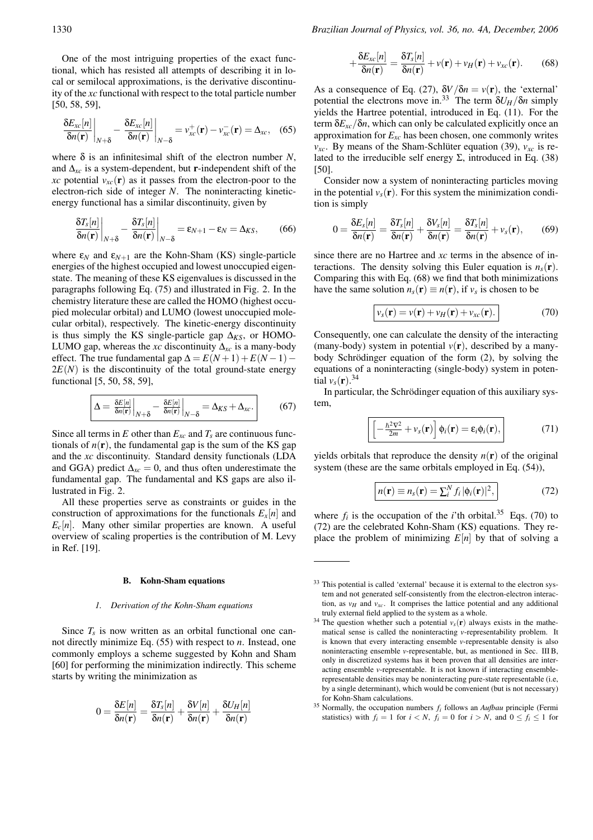One of the most intriguing properties of the exact functional, which has resisted all attempts of describing it in local or semilocal approximations, is the derivative discontinuity of the *xc* functional with respect to the total particle number [50, 58, 59],

$$
\frac{\delta E_{xc}[n]}{\delta n(\mathbf{r})}\bigg|_{N+\delta} - \frac{\delta E_{xc}[n]}{\delta n(\mathbf{r})}\bigg|_{N-\delta} = v_{xc}^+(\mathbf{r}) - v_{xc}^-(\mathbf{r}) = \Delta_{xc}, \quad (65)
$$

where  $\delta$  is an infinitesimal shift of the electron number *N*, and  $\Delta_{xc}$  is a system-dependent, but **r**-independent shift of the *xc* potential  $v_{xc}(\mathbf{r})$  as it passes from the electron-poor to the electron-rich side of integer *N*. The noninteracting kineticenergy functional has a similar discontinuity, given by

$$
\frac{\delta T_s[n]}{\delta n(\mathbf{r})}\bigg|_{N+\delta} - \frac{\delta T_s[n]}{\delta n(\mathbf{r})}\bigg|_{N-\delta} = \varepsilon_{N+1} - \varepsilon_N = \Delta_{KS},\tag{66}
$$

where  $\varepsilon_N$  and  $\varepsilon_{N+1}$  are the Kohn-Sham (KS) single-particle energies of the highest occupied and lowest unoccupied eigenstate. The meaning of these KS eigenvalues is discussed in the paragraphs following Eq. (75) and illustrated in Fig. 2. In the chemistry literature these are called the HOMO (highest occupied molecular orbital) and LUMO (lowest unoccupied molecular orbital), respectively. The kinetic-energy discontinuity is thus simply the KS single-particle gap  $\Delta_{KS}$ , or HOMO-LUMO gap, whereas the *xc* discontinuity  $\Delta_{xc}$  is a many-body effect. The true fundamental gap  $\Delta = E(N+1) + E(N-1) 2E(N)$  is the discontinuity of the total ground-state energy functional [5, 50, 58, 59],

$$
\Delta = \left. \frac{\delta E[n]}{\delta n(\mathbf{r})} \right|_{N+\delta} - \left. \frac{\delta E[n]}{\delta n(\mathbf{r})} \right|_{N-\delta} = \Delta_{KS} + \Delta_{xc}.
$$
 (67)

Since all terms in *E* other than  $E_{xc}$  and  $T_s$  are continuous functionals of  $n(r)$ , the fundamental gap is the sum of the KS gap and the *xc* discontinuity. Standard density functionals (LDA and GGA) predict  $\Delta_{xc} = 0$ , and thus often underestimate the fundamental gap. The fundamental and KS gaps are also illustrated in Fig. 2.

All these properties serve as constraints or guides in the construction of approximations for the functionals  $E_x[n]$  and  $E_c[n]$ . Many other similar properties are known. A useful overview of scaling properties is the contribution of M. Levy in Ref. [19].

#### B. Kohn-Sham equations

#### *1. Derivation of the Kohn-Sham equations*

Since  $T_s$  is now written as an orbital functional one cannot directly minimize Eq. (55) with respect to *n*. Instead, one commonly employs a scheme suggested by Kohn and Sham [60] for performing the minimization indirectly. This scheme starts by writing the minimization as

$$
0 = \frac{\delta E[n]}{\delta n(\mathbf{r})} = \frac{\delta T_s[n]}{\delta n(\mathbf{r})} + \frac{\delta V[n]}{\delta n(\mathbf{r})} + \frac{\delta U_H[n]}{\delta n(\mathbf{r})}
$$

$$
+\frac{\delta E_{xc}[n]}{\delta n(\mathbf{r})} = \frac{\delta T_s[n]}{\delta n(\mathbf{r})} + v(\mathbf{r}) + v_H(\mathbf{r}) + v_{xc}(\mathbf{r}). \tag{68}
$$

As a consequence of Eq. (27),  $\delta V/\delta n = v(\mathbf{r})$ , the 'external' potential the electrons move in.<sup>33</sup> The term  $\delta U_H / \delta n$  simply yields the Hartree potential, introduced in Eq. (11). For the term  $\delta E_{xc}/\delta n$ , which can only be calculated explicitly once an approximation for *Exc* has been chosen, one commonly writes  $v_{xc}$ . By means of the Sham-Schlüter equation (39),  $v_{xc}$  is related to the irreducible self energy  $\Sigma$ , introduced in Eq. (38) [50].

Consider now a system of noninteracting particles moving in the potential  $v_s(\mathbf{r})$ . For this system the minimization condition is simply

$$
0 = \frac{\delta E_s[n]}{\delta n(\mathbf{r})} = \frac{\delta T_s[n]}{\delta n(\mathbf{r})} + \frac{\delta V_s[n]}{\delta n(\mathbf{r})} = \frac{\delta T_s[n]}{\delta n(\mathbf{r})} + v_s(\mathbf{r}),\qquad(69)
$$

since there are no Hartree and *xc* terms in the absence of interactions. The density solving this Euler equation is  $n<sub>s</sub>(\mathbf{r})$ . Comparing this with Eq. (68) we find that both minimizations have the same solution  $n_s(\mathbf{r}) \equiv n(\mathbf{r})$ , if  $v_s$  is chosen to be

$$
\nu_s(\mathbf{r}) = v(\mathbf{r}) + v_H(\mathbf{r}) + v_{xc}(\mathbf{r}).
$$
\n(70)

Consequently, one can calculate the density of the interacting (many-body) system in potential  $v(\mathbf{r})$ , described by a manybody Schrödinger equation of the form  $(2)$ , by solving the equations of a noninteracting (single-body) system in potential  $v_s(\mathbf{r})$ .<sup>34</sup>

In particular, the Schrödinger equation of this auxiliary system,

$$
\left[-\frac{\hbar^2 \nabla^2}{2m} + \nu_s(\mathbf{r})\right] \phi_i(\mathbf{r}) = \varepsilon_i \phi_i(\mathbf{r}),\tag{71}
$$

yields orbitals that reproduce the density  $n(r)$  of the original system (these are the same orbitals employed in Eq. (54)),

$$
n(\mathbf{r}) \equiv n_s(\mathbf{r}) = \sum_{i}^{N} f_i |\phi_i(\mathbf{r})|^2, \qquad (72)
$$

where  $f_i$  is the occupation of the *i*'th orbital.<sup>35</sup> Eqs. (70) to (72) are the celebrated Kohn-Sham (KS) equations. They replace the problem of minimizing  $E[n]$  by that of solving a

<sup>&</sup>lt;sup>33</sup> This potential is called 'external' because it is external to the electron system and not generated self-consistently from the electron-electron interaction, as  $v_H$  and  $v_{xc}$ . It comprises the lattice potential and any additional truly external field applied to the system as a whole.

<sup>&</sup>lt;sup>34</sup> The question whether such a potential  $v_s(\mathbf{r})$  always exists in the mathematical sense is called the noninteracting *v*-representability problem. It is known that every interacting ensemble *v*-representable density is also noninteracting ensemble *v*-representable, but, as mentioned in Sec. III B, only in discretized systems has it been proven that all densities are interacting ensemble *v*-representable. It is not known if interacting ensemblerepresentable densities may be noninteracting pure-state representable (i.e, by a single determinant), which would be convenient (but is not necessary) for Kohn-Sham calculations.

<sup>35</sup> Normally, the occupation numbers *f<sup>i</sup>* follows an *Aufbau* principle (Fermi statistics) with  $f_i = 1$  for  $i < N$ ,  $f_i = 0$  for  $i > N$ , and  $0 \le f_i \le 1$  for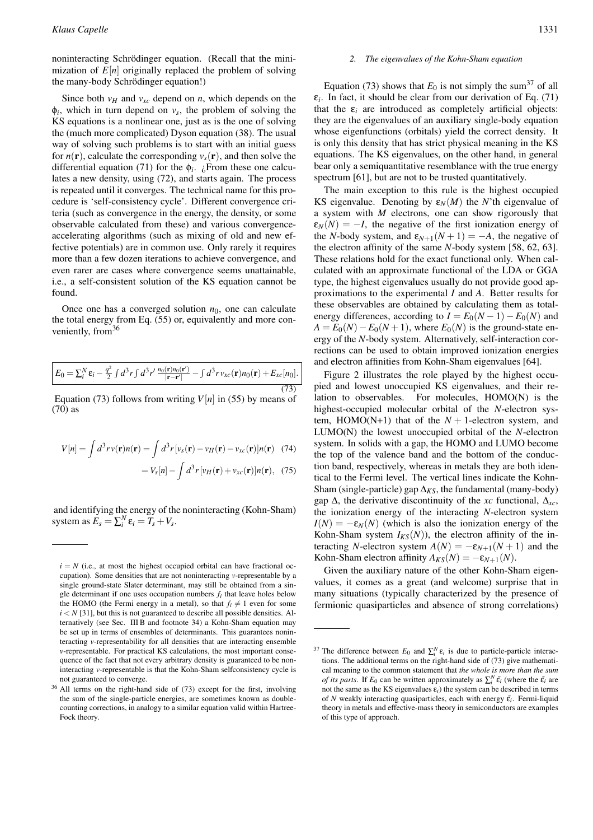noninteracting Schrödinger equation. (Recall that the minimization of  $E[n]$  originally replaced the problem of solving the many-body Schrödinger equation!)

Since both  $v_H$  and  $v_{xc}$  depend on *n*, which depends on the  $\phi$ *i*, which in turn depend on  $v_s$ , the problem of solving the KS equations is a nonlinear one, just as is the one of solving the (much more complicated) Dyson equation (38). The usual way of solving such problems is to start with an initial guess for  $n(\mathbf{r})$ , calculate the corresponding  $v_s(\mathbf{r})$ , and then solve the differential equation (71) for the  $\phi_i$ . *i* From these one calculates a new density, using (72), and starts again. The process is repeated until it converges. The technical name for this procedure is 'self-consistency cycle'. Different convergence criteria (such as convergence in the energy, the density, or some observable calculated from these) and various convergenceaccelerating algorithms (such as mixing of old and new effective potentials) are in common use. Only rarely it requires more than a few dozen iterations to achieve convergence, and even rarer are cases where convergence seems unattainable, i.e., a self-consistent solution of the KS equation cannot be found.

Once one has a converged solution  $n_0$ , one can calculate the total energy from Eq. (55) or, equivalently and more conveniently, from<sup>36</sup>

$$
E_0 = \sum_i^N \varepsilon_i - \frac{q^2}{2} \int d^3 r \int d^3 r' \frac{n_0(\mathbf{r})n_0(\mathbf{r}')}{|\mathbf{r} - \mathbf{r}'|} - \int d^3 r \, v_{xc}(\mathbf{r})n_0(\mathbf{r}) + E_{xc}[n_0].
$$
\n(73)

Equation (73) follows from writing  $V[n]$  in (55) by means of (70) as

$$
V[n] = \int d^3 r v(\mathbf{r}) n(\mathbf{r}) = \int d^3 r [v_s(\mathbf{r}) - v_H(\mathbf{r}) - v_{xc}(\mathbf{r})] n(\mathbf{r}) \quad (74)
$$

$$
= V_s[n] - \int d^3 r [v_H(\mathbf{r}) + v_{xc}(\mathbf{r})] n(\mathbf{r}), \quad (75)
$$

and identifying the energy of the noninteracting (Kohn-Sham) system as  $\mathbf{\dot{E}}_s = \sum_i^N \varepsilon_i = T_s + V_s$ .

## *2. The eigenvalues of the Kohn-Sham equation*

Equation (73) shows that  $E_0$  is not simply the sum<sup>37</sup> of all  $\varepsilon_i$ . In fact, it should be clear from our derivation of Eq.  $(71)$ that the  $\varepsilon_i$  are introduced as completely artificial objects: they are the eigenvalues of an auxiliary single-body equation whose eigenfunctions (orbitals) yield the correct density. It is only this density that has strict physical meaning in the KS equations. The KS eigenvalues, on the other hand, in general bear only a semiquantitative resemblance with the true energy spectrum [61], but are not to be trusted quantitatively.

The main exception to this rule is the highest occupied KS eigenvalue. Denoting by  $\varepsilon_N(M)$  the *N*'th eigenvalue of a system with *M* electrons, one can show rigorously that  $\varepsilon_N(N) = -I$ , the negative of the first ionization energy of the *N*-body system, and  $\varepsilon_{N+1}(N+1) = -A$ , the negative of the electron affinity of the same *N*-body system [58, 62, 63]. These relations hold for the exact functional only. When calculated with an approximate functional of the LDA or GGA type, the highest eigenvalues usually do not provide good approximations to the experimental *I* and *A*. Better results for these observables are obtained by calculating them as totalenergy differences, according to  $I = E_0(N-1) - E_0(N)$  and  $A = E_0(N) - E_0(N+1)$ , where  $E_0(N)$  is the ground-state energy of the *N*-body system. Alternatively, self-interaction corrections can be used to obtain improved ionization energies and electron affinities from Kohn-Sham eigenvalues [64].

Figure 2 illustrates the role played by the highest occupied and lowest unoccupied KS eigenvalues, and their relation to observables. For molecules, HOMO(N) is the highest-occupied molecular orbital of the *N*-electron system, HOMO(N+1) that of the  $N + 1$ -electron system, and LUMO(N) the lowest unoccupied orbital of the *N*-electron system. In solids with a gap, the HOMO and LUMO become the top of the valence band and the bottom of the conduction band, respectively, whereas in metals they are both identical to the Fermi level. The vertical lines indicate the Kohn-Sham (single-particle) gap  $\Delta_{KS}$ , the fundamental (many-body) gap ∆, the derivative discontinuity of the *xc* functional, ∆*xc*, the ionization energy of the interacting *N*-electron system  $I(N) = -\varepsilon_N(N)$  (which is also the ionization energy of the Kohn-Sham system  $I_{KS}(N)$ , the electron affinity of the interacting *N*-electron system  $A(N) = -\varepsilon_{N+1}(N+1)$  and the Kohn-Sham electron affinity  $A_{KS}(N) = -\varepsilon_{N+1}(N)$ .

Given the auxiliary nature of the other Kohn-Sham eigenvalues, it comes as a great (and welcome) surprise that in many situations (typically characterized by the presence of fermionic quasiparticles and absence of strong correlations)

 $i = N$  (i.e., at most the highest occupied orbital can have fractional occupation). Some densities that are not noninteracting *v*-representable by a single ground-state Slater determinant, may still be obtained from a single determinant if one uses occupation numbers  $f_i$  that leave holes below the HOMO (the Fermi energy in a metal), so that  $f_i \neq 1$  even for some  $i < N$  [31], but this is not guaranteed to describe all possible densities. Alternatively (see Sec. III B and footnote 34) a Kohn-Sham equation may be set up in terms of ensembles of determinants. This guarantees noninteracting *v*-representability for all densities that are interacting ensemble *v*-representable. For practical KS calculations, the most important consequence of the fact that not every arbitrary density is guaranteed to be noninteracting *v*-representable is that the Kohn-Sham selfconsistency cycle is not guaranteed to converge.

<sup>36</sup> All terms on the right-hand side of (73) except for the first, involving the sum of the single-particle energies, are sometimes known as doublecounting corrections, in analogy to a similar equation valid within Hartree-Fock theory.

<sup>&</sup>lt;sup>37</sup> The difference between  $E_0$  and  $\sum_i^N \varepsilon_i$  is due to particle-particle interactions. The additional terms on the right-hand side of (73) give mathematical meaning to the common statement that *the whole is more than the sum of its parts.* If  $E_0$  can be written approximately as  $\sum_i^N \tilde{\varepsilon}_i$  (where the  $\tilde{\varepsilon}_i$  are not the same as the KS eigenvalues  $\varepsilon_i$ ) the system can be described in terms of *N* weakly interacting quasiparticles, each with energy  $\tilde{\varepsilon}_i$ . Fermi-liquid theory in metals and effective-mass theory in semiconductors are examples of this type of approach.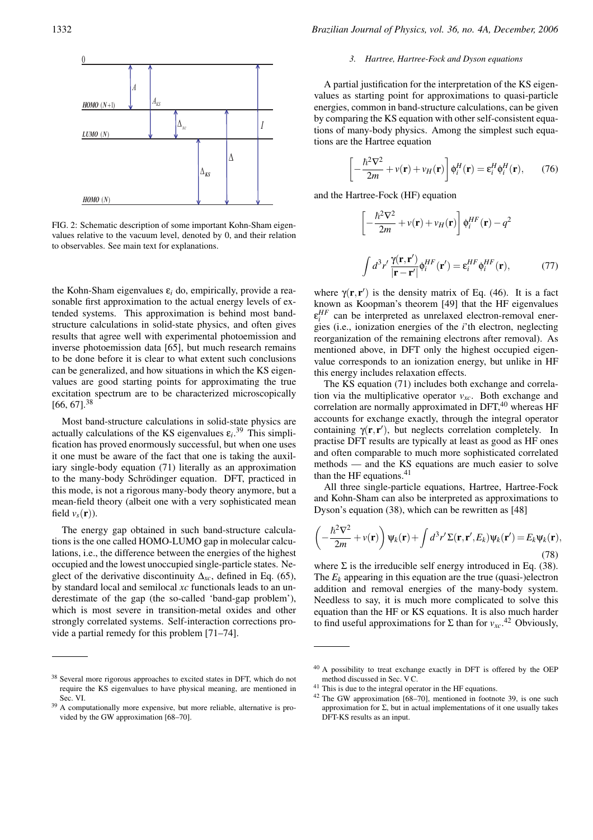

FIG. 2: Schematic description of some important Kohn-Sham eigenvalues relative to the vacuum level, denoted by 0, and their relation to observables. See main text for explanations.

the Kohn-Sham eigenvalues  $\varepsilon_i$  do, empirically, provide a reasonable first approximation to the actual energy levels of extended systems. This approximation is behind most bandstructure calculations in solid-state physics, and often gives results that agree well with experimental photoemission and inverse photoemission data [65], but much research remains to be done before it is clear to what extent such conclusions can be generalized, and how situations in which the KS eigenvalues are good starting points for approximating the true excitation spectrum are to be characterized microscopically  $[66, 67]$ <sup>38</sup>

Most band-structure calculations in solid-state physics are actually calculations of the KS eigenvalues  $\varepsilon_i$ <sup>39</sup> This simplification has proved enormously successful, but when one uses it one must be aware of the fact that one is taking the auxiliary single-body equation (71) literally as an approximation to the many-body Schrödinger equation. DFT, practiced in this mode, is not a rigorous many-body theory anymore, but a mean-field theory (albeit one with a very sophisticated mean field  $v_s(\mathbf{r})$ ).

The energy gap obtained in such band-structure calculations is the one called HOMO-LUMO gap in molecular calculations, i.e., the difference between the energies of the highest occupied and the lowest unoccupied single-particle states. Neglect of the derivative discontinuity ∆*xc*, defined in Eq. (65), by standard local and semilocal *xc* functionals leads to an underestimate of the gap (the so-called 'band-gap problem'), which is most severe in transition-metal oxides and other strongly correlated systems. Self-interaction corrections provide a partial remedy for this problem [71–74].

# *3. Hartree, Hartree-Fock and Dyson equations*

A partial justification for the interpretation of the KS eigenvalues as starting point for approximations to quasi-particle energies, common in band-structure calculations, can be given by comparing the KS equation with other self-consistent equations of many-body physics. Among the simplest such equations are the Hartree equation

$$
\left[-\frac{\hbar^2 \nabla^2}{2m} + v(\mathbf{r}) + v_H(\mathbf{r})\right] \phi_i^H(\mathbf{r}) = \varepsilon_i^H \phi_i^H(\mathbf{r}), \qquad (76)
$$

and the Hartree-Fock (HF) equation

$$
\left[-\frac{\hbar^2 \nabla^2}{2m} + v(\mathbf{r}) + v_H(\mathbf{r})\right] \phi_i^{HF}(\mathbf{r}) - q^2
$$

$$
\int d^3 r' \frac{\gamma(\mathbf{r}, \mathbf{r}')}{|\mathbf{r} - \mathbf{r}'|} \phi_i^{HF}(\mathbf{r}') = \varepsilon_i^{HF} \phi_i^{HF}(\mathbf{r}), \qquad (77)
$$

where  $\gamma(\mathbf{r}, \mathbf{r}')$  is the density matrix of Eq. (46). It is a fact known as Koopman's theorem [49] that the HF eigenvalues  $\varepsilon_i^{HF}$  can be interpreted as unrelaxed electron-removal energies (i.e., ionization energies of the *i*'th electron, neglecting reorganization of the remaining electrons after removal). As mentioned above, in DFT only the highest occupied eigenvalue corresponds to an ionization energy, but unlike in HF this energy includes relaxation effects.

The KS equation (71) includes both exchange and correlation via the multiplicative operator *vxc*. Both exchange and correlation are normally approximated in DFT,<sup>40</sup> whereas HF accounts for exchange exactly, through the integral operator containing  $\gamma(\mathbf{r}, \mathbf{r}')$ , but neglects correlation completely. In practise DFT results are typically at least as good as HF ones and often comparable to much more sophisticated correlated methods — and the KS equations are much easier to solve than the HF equations.<sup>41</sup>

All three single-particle equations, Hartree, Hartree-Fock and Kohn-Sham can also be interpreted as approximations to Dyson's equation (38), which can be rewritten as [48]

$$
\left(-\frac{\hbar^2 \nabla^2}{2m} + v(\mathbf{r})\right) \Psi_k(\mathbf{r}) + \int d^3 r' \Sigma(\mathbf{r}, \mathbf{r}', E_k) \Psi_k(\mathbf{r}') = E_k \Psi_k(\mathbf{r}),
$$
\n(78)

where  $\Sigma$  is the irreducible self energy introduced in Eq. (38). The  $E_k$  appearing in this equation are the true (quasi-)electron addition and removal energies of the many-body system. Needless to say, it is much more complicated to solve this equation than the HF or KS equations. It is also much harder to find useful approximations for Σ than for *vxc*. <sup>42</sup> Obviously,

<sup>38</sup> Several more rigorous approaches to excited states in DFT, which do not require the KS eigenvalues to have physical meaning, are mentioned in Sec. VI.

<sup>&</sup>lt;sup>39</sup> A computationally more expensive, but more reliable, alternative is provided by the GW approximation [68–70].

<sup>40</sup> A possibility to treat exchange exactly in DFT is offered by the OEP method discussed in Sec. V C.

<sup>&</sup>lt;sup>41</sup> This is due to the integral operator in the HF equations.

 $42$  The GW approximation [68–70], mentioned in footnote 39, is one such approximation for Σ, but in actual implementations of it one usually takes DFT-KS results as an input.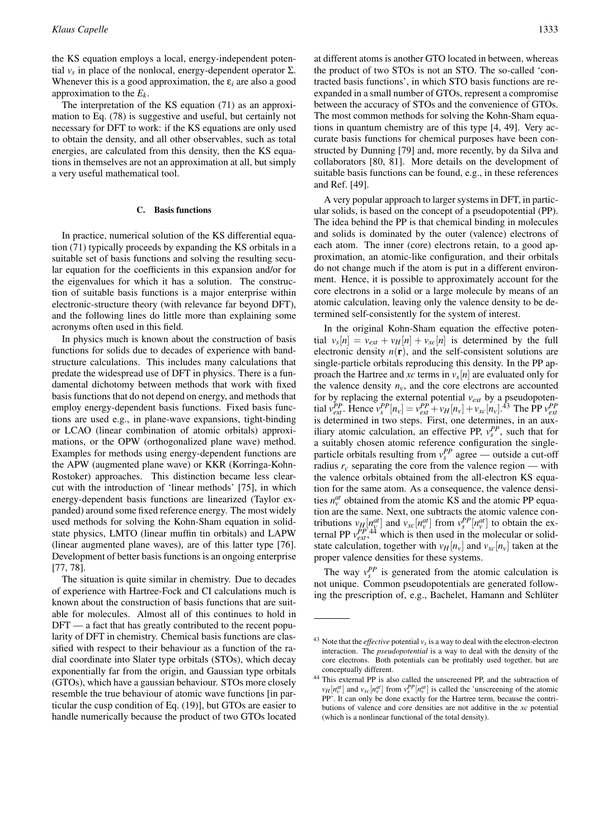the KS equation employs a local, energy-independent potential  $v_s$  in place of the nonlocal, energy-dependent operator  $\Sigma$ . Whenever this is a good approximation, the  $\varepsilon_i$  are also a good approximation to the *Ek*.

The interpretation of the KS equation (71) as an approximation to Eq. (78) is suggestive and useful, but certainly not necessary for DFT to work: if the KS equations are only used to obtain the density, and all other observables, such as total energies, are calculated from this density, then the KS equations in themselves are not an approximation at all, but simply a very useful mathematical tool.

### C. Basis functions

In practice, numerical solution of the KS differential equation (71) typically proceeds by expanding the KS orbitals in a suitable set of basis functions and solving the resulting secular equation for the coefficients in this expansion and/or for the eigenvalues for which it has a solution. The construction of suitable basis functions is a major enterprise within electronic-structure theory (with relevance far beyond DFT), and the following lines do little more than explaining some acronyms often used in this field.

In physics much is known about the construction of basis functions for solids due to decades of experience with bandstructure calculations. This includes many calculations that predate the widespread use of DFT in physics. There is a fundamental dichotomy between methods that work with fixed basis functions that do not depend on energy, and methods that employ energy-dependent basis functions. Fixed basis functions are used e.g., in plane-wave expansions, tight-binding or LCAO (linear combination of atomic orbitals) approximations, or the OPW (orthogonalized plane wave) method. Examples for methods using energy-dependent functions are the APW (augmented plane wave) or KKR (Korringa-Kohn-Rostoker) approaches. This distinction became less clearcut with the introduction of 'linear methods' [75], in which energy-dependent basis functions are linearized (Taylor expanded) around some fixed reference energy. The most widely used methods for solving the Kohn-Sham equation in solidstate physics, LMTO (linear muffin tin orbitals) and LAPW (linear augmented plane waves), are of this latter type [76]. Development of better basis functions is an ongoing enterprise [77, 78].

The situation is quite similar in chemistry. Due to decades of experience with Hartree-Fock and CI calculations much is known about the construction of basis functions that are suitable for molecules. Almost all of this continues to hold in DFT — a fact that has greatly contributed to the recent popularity of DFT in chemistry. Chemical basis functions are classified with respect to their behaviour as a function of the radial coordinate into Slater type orbitals (STOs), which decay exponentially far from the origin, and Gaussian type orbitals (GTOs), which have a gaussian behaviour. STOs more closely resemble the true behaviour of atomic wave functions [in particular the cusp condition of Eq. (19)], but GTOs are easier to handle numerically because the product of two GTOs located

at different atoms is another GTO located in between, whereas the product of two STOs is not an STO. The so-called 'contracted basis functions', in which STO basis functions are reexpanded in a small number of GTOs, represent a compromise between the accuracy of STOs and the convenience of GTOs. The most common methods for solving the Kohn-Sham equations in quantum chemistry are of this type [4, 49]. Very accurate basis functions for chemical purposes have been constructed by Dunning [79] and, more recently, by da Silva and collaborators [80, 81]. More details on the development of suitable basis functions can be found, e.g., in these references and Ref. [49].

A very popular approach to larger systems in DFT, in particular solids, is based on the concept of a pseudopotential (PP). The idea behind the PP is that chemical binding in molecules and solids is dominated by the outer (valence) electrons of each atom. The inner (core) electrons retain, to a good approximation, an atomic-like configuration, and their orbitals do not change much if the atom is put in a different environment. Hence, it is possible to approximately account for the core electrons in a solid or a large molecule by means of an atomic calculation, leaving only the valence density to be determined self-consistently for the system of interest.

In the original Kohn-Sham equation the effective potential  $v_s[n] = v_{ext} + v_H[n] + v_{xc}[n]$  is determined by the full electronic density  $n(r)$ , and the self-consistent solutions are single-particle orbitals reproducing this density. In the PP approach the Hartree and *xc* terms in *v<sup>s</sup>* [*n*] are evaluated only for the valence density  $n<sub>v</sub>$ , and the core electrons are accounted for by replacing the external potential *vext* by a pseudopotential  $v_{ext}^{PP}$ . Hence  $v_s^{PP}[n_v] = v_{ext}^{PP} + v_H[n_v] + v_{xc}[n_v]$ .<sup>43</sup> The PP  $v_{ext}^{PP}$ is determined in two steps. First, one determines, in an auxiliary atomic calculation, an effective PP,  $v_s^{PP}$ , such that for a suitably chosen atomic reference configuration the singleparticle orbitals resulting from  $v_s^{PP}$  agree — outside a cut-off radius  $r_c$  separating the core from the valence region — with the valence orbitals obtained from the all-electron KS equation for the same atom. As a consequence, the valence densities  $n_v^{at}$  obtained from the atomic KS and the atomic PP equation are the same. Next, one subtracts the atomic valence contributions  $v_H[n_v^{\text{at}}]$  and  $v_{xc}[n_v^{\text{at}}]$  from  $v_s^{PP}[n_v^{\text{at}}]$  to obtain the external PP  $v_{ext}^{PP}$ , 44 which is then used in the molecular or solidstate calculation, together with  $v_H[n_v]$  and  $v_{xc}[n_v]$  taken at the proper valence densities for these systems.

The way  $v_s^{PP}$  is generated from the atomic calculation is not unique. Common pseudopotentials are generated following the prescription of, e.g., Bachelet, Hamann and Schlüter

<sup>&</sup>lt;sup>43</sup> Note that the *effective* potential  $v_s$  is a way to deal with the electron-electron interaction. The *pseudopotential* is a way to deal with the density of the core electrons. Both potentials can be profitably used together, but are conceptually different.

<sup>44</sup> This external PP is also called the unscreened PP, and the subtraction of  $v_H[n_v^{at}]$  and  $v_{xc}[n_v^{at}]$  from  $v_s^{PP}[n_v^{at}]$  is called the 'unscreening of the atomic PP'. It can only be done exactly for the Hartree term, because the contributions of valence and core densities are not additive in the *xc* potential (which is a nonlinear functional of the total density).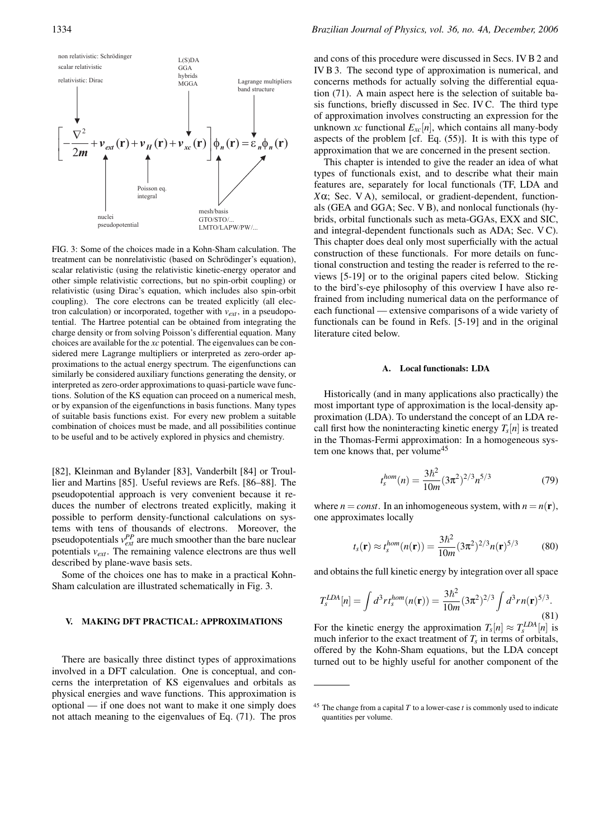

FIG. 3: Some of the choices made in a Kohn-Sham calculation. The treatment can be nonrelativistic (based on Schrödinger's equation), scalar relativistic (using the relativistic kinetic-energy operator and other simple relativistic corrections, but no spin-orbit coupling) or relativistic (using Dirac's equation, which includes also spin-orbit coupling). The core electrons can be treated explicitly (all electron calculation) or incorporated, together with *vext*, in a pseudopotential. The Hartree potential can be obtained from integrating the charge density or from solving Poisson's differential equation. Many choices are available for the *xc* potential. The eigenvalues can be considered mere Lagrange multipliers or interpreted as zero-order approximations to the actual energy spectrum. The eigenfunctions can similarly be considered auxiliary functions generating the density, or interpreted as zero-order approximations to quasi-particle wave functions. Solution of the KS equation can proceed on a numerical mesh, or by expansion of the eigenfunctions in basis functions. Many types of suitable basis functions exist. For every new problem a suitable combination of choices must be made, and all possibilities continue to be useful and to be actively explored in physics and chemistry.

[82], Kleinman and Bylander [83], Vanderbilt [84] or Troullier and Martins [85]. Useful reviews are Refs. [86–88]. The pseudopotential approach is very convenient because it reduces the number of electrons treated explicitly, making it possible to perform density-functional calculations on systems with tens of thousands of electrons. Moreover, the pseudopotentials  $v_{ext}^{PP}$  are much smoother than the bare nuclear potentials *vext*. The remaining valence electrons are thus well described by plane-wave basis sets.

Some of the choices one has to make in a practical Kohn-Sham calculation are illustrated schematically in Fig. 3.

## V. MAKING DFT PRACTICAL: APPROXIMATIONS

There are basically three distinct types of approximations involved in a DFT calculation. One is conceptual, and concerns the interpretation of KS eigenvalues and orbitals as physical energies and wave functions. This approximation is optional — if one does not want to make it one simply does not attach meaning to the eigenvalues of Eq. (71). The pros and cons of this procedure were discussed in Secs. IV B 2 and IV B 3. The second type of approximation is numerical, and concerns methods for actually solving the differential equation (71). A main aspect here is the selection of suitable basis functions, briefly discussed in Sec. IV C. The third type of approximation involves constructing an expression for the unknown *xc* functional  $E_{xc}[n]$ , which contains all many-body aspects of the problem  $[cf. Eq. (55)]$ . It is with this type of approximation that we are concerned in the present section.

This chapter is intended to give the reader an idea of what types of functionals exist, and to describe what their main features are, separately for local functionals (TF, LDA and *X*α; Sec. V A), semilocal, or gradient-dependent, functionals (GEA and GGA; Sec. V B), and nonlocal functionals (hybrids, orbital functionals such as meta-GGAs, EXX and SIC, and integral-dependent functionals such as ADA; Sec. V C). This chapter does deal only most superficially with the actual construction of these functionals. For more details on functional construction and testing the reader is referred to the reviews [5-19] or to the original papers cited below. Sticking to the bird's-eye philosophy of this overview I have also refrained from including numerical data on the performance of each functional — extensive comparisons of a wide variety of functionals can be found in Refs. [5-19] and in the original literature cited below.

#### A. Local functionals: LDA

Historically (and in many applications also practically) the most important type of approximation is the local-density approximation (LDA). To understand the concept of an LDA recall first how the noninteracting kinetic energy  $T_s[n]$  is treated in the Thomas-Fermi approximation: In a homogeneous system one knows that, per volume<sup>45</sup>

$$
t_s^{hom}(n) = \frac{3\hbar^2}{10m} (3\pi^2)^{2/3} n^{5/3}
$$
 (79)

where  $n = const.$  In an inhomogeneous system, with  $n = n(\mathbf{r})$ , one approximates locally

$$
t_s(\mathbf{r}) \approx t_s^{hom}(n(\mathbf{r})) = \frac{3\hbar^2}{10m}(3\pi^2)^{2/3}n(\mathbf{r})^{5/3}
$$
 (80)

and obtains the full kinetic energy by integration over all space

$$
T_s^{LDA}[n] = \int d^3r t_s^{hom}(n(\mathbf{r})) = \frac{3\hbar^2}{10m}(3\pi^2)^{2/3} \int d^3r n(\mathbf{r})^{5/3}.
$$
\n(81)

For the kinetic energy the approximation  $T_s[n] \approx T_s^{LDA}[n]$  is much inferior to the exact treatment of  $T_s$  in terms of orbitals, offered by the Kohn-Sham equations, but the LDA concept turned out to be highly useful for another component of the

 $45$  The change from a capital *T* to a lower-case *t* is commonly used to indicate quantities per volume.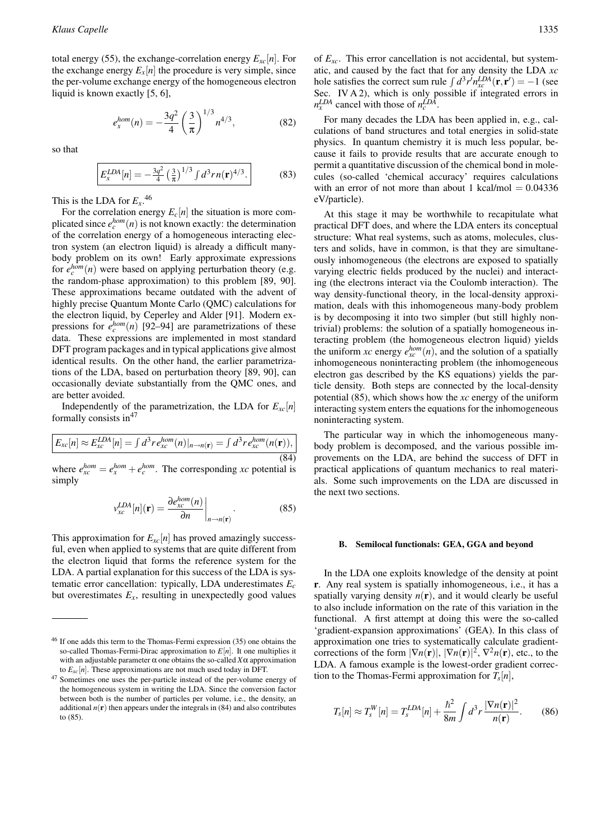total energy (55), the exchange-correlation energy  $E_{xc}[n]$ . For the exchange energy  $E_x[n]$  the procedure is very simple, since the per-volume exchange energy of the homogeneous electron liquid is known exactly [5, 6],

$$
e_x^{hom}(n) = -\frac{3q^2}{4} \left(\frac{3}{\pi}\right)^{1/3} n^{4/3},\tag{82}
$$

so that

$$
\boxed{E_x^{LDA}[n] = -\frac{3q^2}{4} \left(\frac{3}{\pi}\right)^{1/3} \int d^3r n(\mathbf{r})^{4/3}.\tag{83}
$$

This is the LDA for  $E_x$ .<sup>46</sup>

For the correlation energy  $E_c[n]$  the situation is more complicated since  $e_c^{hom}(n)$  is not known exactly: the determination of the correlation energy of a homogeneous interacting electron system (an electron liquid) is already a difficult manybody problem on its own! Early approximate expressions for  $e_c^{hom}(n)$  were based on applying perturbation theory (e.g. the random-phase approximation) to this problem [89, 90]. These approximations became outdated with the advent of highly precise Quantum Monte Carlo (QMC) calculations for the electron liquid, by Ceperley and Alder [91]. Modern expressions for  $e_c^{hom}(n)$  [92–94] are parametrizations of these data. These expressions are implemented in most standard DFT program packages and in typical applications give almost identical results. On the other hand, the earlier parametrizations of the LDA, based on perturbation theory [89, 90], can occasionally deviate substantially from the QMC ones, and are better avoided.

Independently of the parametrization, the LDA for  $E_{xc}[n]$ formally consists in<sup>47</sup>

$$
E_{xc}[n] \approx E_{xc}^{LDA}[n] = \int d^3r \, e_{xc}^{hom}(n)|_{n \to n(\mathbf{r})} = \int d^3r \, e_{xc}^{hom}(n(\mathbf{r})),\tag{84}
$$

where  $e_{xc}^{hom} = e_{x}^{hom} + e_{c}^{hom}$ . The corresponding *xc* potential is simply

$$
\nu_{xc}^{LDA}[n](\mathbf{r}) = \frac{\partial e_{xc}^{hom}(n)}{\partial n}\bigg|_{n \to n(\mathbf{r})}.
$$
 (85)

This approximation for  $E_{xc}[n]$  has proved amazingly successful, even when applied to systems that are quite different from the electron liquid that forms the reference system for the LDA. A partial explanation for this success of the LDA is systematic error cancellation: typically, LDA underestimates *E<sup>c</sup>* but overestimates  $E_x$ , resulting in unexpectedly good values of *Exc*. This error cancellation is not accidental, but systematic, and caused by the fact that for any density the LDA *xc* and a caused by the ract that for any density the LDA *xc* hole satisfies the correct sum rule  $\int d^3r' n_{xc}^{LDA}(\mathbf{r}, \mathbf{r}') = -1$  (see Sec. IV A 2), which is only possible if integrated errors in  $n_x^{LDA}$  cancel with those of  $n_c^{LDA}$ .

For many decades the LDA has been applied in, e.g., calculations of band structures and total energies in solid-state physics. In quantum chemistry it is much less popular, because it fails to provide results that are accurate enough to permit a quantitative discussion of the chemical bond in molecules (so-called 'chemical accuracy' requires calculations with an error of not more than about 1 kcal/mol  $= 0.04336$ eV/particle).

At this stage it may be worthwhile to recapitulate what practical DFT does, and where the LDA enters its conceptual structure: What real systems, such as atoms, molecules, clusters and solids, have in common, is that they are simultaneously inhomogeneous (the electrons are exposed to spatially varying electric fields produced by the nuclei) and interacting (the electrons interact via the Coulomb interaction). The way density-functional theory, in the local-density approximation, deals with this inhomogeneous many-body problem is by decomposing it into two simpler (but still highly nontrivial) problems: the solution of a spatially homogeneous interacting problem (the homogeneous electron liquid) yields the uniform *xc* energy  $e_{xc}^{hom}(n)$ , and the solution of a spatially inhomogeneous noninteracting problem (the inhomogeneous electron gas described by the KS equations) yields the particle density. Both steps are connected by the local-density potential (85), which shows how the *xc* energy of the uniform interacting system enters the equations for the inhomogeneous noninteracting system.

The particular way in which the inhomogeneous manybody problem is decomposed, and the various possible improvements on the LDA, are behind the success of DFT in practical applications of quantum mechanics to real materials. Some such improvements on the LDA are discussed in the next two sections.

### B. Semilocal functionals: GEA, GGA and beyond

In the LDA one exploits knowledge of the density at point r. Any real system is spatially inhomogeneous, i.e., it has a spatially varying density  $n(r)$ , and it would clearly be useful to also include information on the rate of this variation in the functional. A first attempt at doing this were the so-called 'gradient-expansion approximations' (GEA). In this class of approximation one tries to systematically calculate gradientcorrections of the form  $|\nabla n(\mathbf{r})|, |\nabla n(\mathbf{r})|^2, \nabla^2 n(\mathbf{r}),$  etc., to the LDA. A famous example is the lowest-order gradient correction to the Thomas-Fermi approximation for  $T_s[n]$ ,

$$
T_s[n] \approx T_s^W[n] = T_s^{LDA}[n] + \frac{\hbar^2}{8m} \int d^3r \frac{|\nabla n(\mathbf{r})|^2}{n(\mathbf{r})}. \tag{86}
$$

<sup>46</sup> If one adds this term to the Thomas-Fermi expression (35) one obtains the so-called Thomas-Fermi-Dirac approximation to  $E[n]$ . It one multiplies it with an adjustable parameter α one obtains the so-called *X*α approximation to *Exc*[*n*]. These approximations are not much used today in DFT.

<sup>47</sup> Sometimes one uses the per-particle instead of the per-volume energy of the homogeneous system in writing the LDA. Since the conversion factor between both is the number of particles per volume, i.e., the density, an additional  $n(r)$  then appears under the integrals in (84) and also contributes to (85).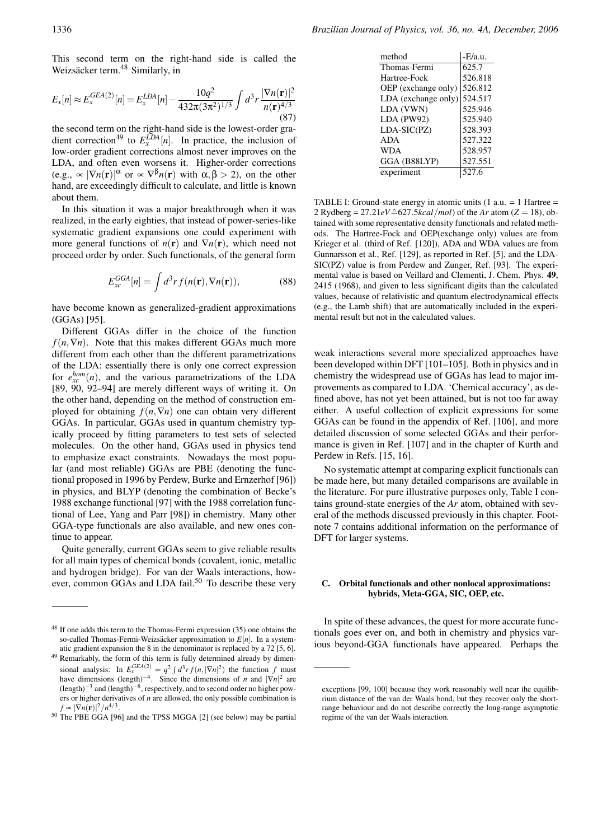This second term on the right-hand side is called the Weizsäcker term.<sup>48</sup> Similarly, in

$$
E_x[n] \approx E_x^{GEA(2)}[n] = E_x^{LDA}[n] - \frac{10q^2}{432\pi(3\pi^2)^{1/3}} \int d^3r \frac{|\nabla n(\mathbf{r})|^2}{n(\mathbf{r})^{4/3}}
$$
(87)

the second term on the right-hand side is the lowest-order gradient correction<sup>49</sup> to  $E_x^{\overline{LDA}}[n]$ . In practice, the inclusion of low-order gradient corrections almost never improves on the LDA, and often even worsens it. Higher-order corrections  $(e.g., \propto |\nabla n(\mathbf{r})|^\alpha$  or  $\propto \nabla^\beta n(\mathbf{r})$  with  $\alpha, \beta > 2$ ), on the other hand, are exceedingly difficult to calculate, and little is known about them.

In this situation it was a major breakthrough when it was realized, in the early eighties, that instead of power-series-like systematic gradient expansions one could experiment with more general functions of  $n(r)$  and  $\nabla n(r)$ , which need not proceed order by order. Such functionals, of the general form

$$
E_{xc}^{GGA}[n] = \int d^3r f(n(\mathbf{r}), \nabla n(\mathbf{r})),
$$
 (88)

have become known as generalized-gradient approximations (GGAs) [95].

Different GGAs differ in the choice of the function  $f(n, \nabla n)$ . Note that this makes different GGAs much more different from each other than the different parametrizations of the LDA: essentially there is only one correct expression for  $e_{xc}^{hom}(n)$ , and the various parametrizations of the LDA [89, 90, 92–94] are merely different ways of writing it. On the other hand, depending on the method of construction employed for obtaining  $f(n, \nabla n)$  one can obtain very different GGAs. In particular, GGAs used in quantum chemistry typically proceed by fitting parameters to test sets of selected molecules. On the other hand, GGAs used in physics tend to emphasize exact constraints. Nowadays the most popular (and most reliable) GGAs are PBE (denoting the functional proposed in 1996 by Perdew, Burke and Ernzerhof [96]) in physics, and BLYP (denoting the combination of Becke's 1988 exchange functional [97] with the 1988 correlation functional of Lee, Yang and Parr [98]) in chemistry. Many other GGA-type functionals are also available, and new ones continue to appear.

Quite generally, current GGAs seem to give reliable results for all main types of chemical bonds (covalent, ionic, metallic and hydrogen bridge). For van der Waals interactions, however, common GGAs and LDA fail.<sup>50</sup> To describe these very

| method              | $-E/a.u.$ |
|---------------------|-----------|
| Thomas-Fermi        | 625.7     |
| Hartree-Fock        | 526.818   |
| OEP (exchange only) | 526.812   |
| LDA (exchange only) | 524.517   |
| LDA (VWN)           | 525.946   |
| LDA (PW92)          | 525.940   |
| LDA-SIC(PZ)         | 528.393   |
| <b>ADA</b>          | 527.322   |
| <b>WDA</b>          | 528.957   |
| GGA (B88LYP)        | 527.551   |
| experiment          | 527.6     |

TABLE I: Ground-state energy in atomic units (1 a.u. = 1 Hartree = 2 Rydberg =  $27.21 \text{eV} \triangleq 627.5 \text{kcal/mol}$  of the *Ar* atom ( $Z = 18$ ), obtained with some representative density functionals and related methods. The Hartree-Fock and OEP(exchange only) values are from Krieger et al. (third of Ref. [120]), ADA and WDA values are from Gunnarsson et al., Ref. [129], as reported in Ref. [5], and the LDA-SIC(PZ) value is from Perdew and Zunger, Ref. [93]. The experimental value is based on Veillard and Clementi, J. Chem. Phys. 49, 2415 (1968), and given to less significant digits than the calculated values, because of relativistic and quantum electrodynamical effects (e.g., the Lamb shift) that are automatically included in the experimental result but not in the calculated values.

weak interactions several more specialized approaches have been developed within DFT [101–105]. Both in physics and in chemistry the widespread use of GGAs has lead to major improvements as compared to LDA. 'Chemical accuracy', as defined above, has not yet been attained, but is not too far away either. A useful collection of explicit expressions for some GGAs can be found in the appendix of Ref. [106], and more detailed discussion of some selected GGAs and their performance is given in Ref. [107] and in the chapter of Kurth and Perdew in Refs. [15, 16].

No systematic attempt at comparing explicit functionals can be made here, but many detailed comparisons are available in the literature. For pure illustrative purposes only, Table I contains ground-state energies of the *Ar* atom, obtained with several of the methods discussed previously in this chapter. Footnote 7 contains additional information on the performance of DFT for larger systems.

## C. Orbital functionals and other nonlocal approximations: hybrids, Meta-GGA, SIC, OEP, etc.

In spite of these advances, the quest for more accurate functionals goes ever on, and both in chemistry and physics various beyond-GGA functionals have appeared. Perhaps the

 $48$  If one adds this term to the Thomas-Fermi expression (35) one obtains the so-called Thomas-Fermi-Weizsäcker approximation to  $E[n]$ . In a systematic gradient expansion the 8 in the denominator is replaced by a 72 [5, 6].

<sup>49</sup> Remarkably, the form of this term is fully determined already by dimensional analysis: In  $E_x^{GEA(2)} = q^2 \int d^3r f(n, |\nabla n|^2)$  the function *f* must have dimensions (length)<sup>-4</sup>. Since the dimensions of *n* and  $|\nabla n|^2$  are  $(\text{length})^{-3}$  and  $(\text{length})^{-8}$ , respectively, and to second order no higher powers or higher derivatives of *n* are allowed, the only possible combination is  $f \propto |\nabla n(\mathbf{r})|^2/n^{4/3}.$ 

<sup>50</sup> The PBE GGA [96] and the TPSS MGGA [2] (see below) may be partial

exceptions [99, 100] because they work reasonably well near the equilibrium distance of the van der Waals bond, but they recover only the shortrange behaviour and do not describe correctly the long-range asymptotic regime of the van der Waals interaction.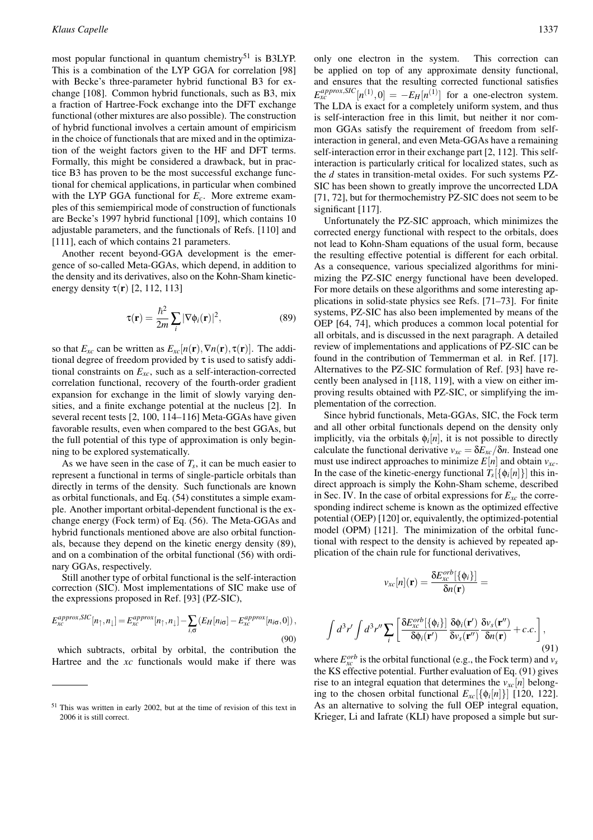most popular functional in quantum chemistry<sup>51</sup> is B3LYP. This is a combination of the LYP GGA for correlation [98] with Becke's three-parameter hybrid functional B3 for exchange [108]. Common hybrid functionals, such as B3, mix a fraction of Hartree-Fock exchange into the DFT exchange functional (other mixtures are also possible). The construction of hybrid functional involves a certain amount of empiricism in the choice of functionals that are mixed and in the optimization of the weight factors given to the HF and DFT terms. Formally, this might be considered a drawback, but in practice B3 has proven to be the most successful exchange functional for chemical applications, in particular when combined with the LYP GGA functional for  $E_c$ . More extreme examples of this semiempirical mode of construction of functionals are Becke's 1997 hybrid functional [109], which contains 10 adjustable parameters, and the functionals of Refs. [110] and [111], each of which contains 21 parameters.

Another recent beyond-GGA development is the emergence of so-called Meta-GGAs, which depend, in addition to the density and its derivatives, also on the Kohn-Sham kineticenergy density  $\tau(\mathbf{r})$  [2, 112, 113]

$$
\tau(\mathbf{r}) = \frac{\hbar^2}{2m} \sum_{i} |\nabla \phi_i(\mathbf{r})|^2, \qquad (89)
$$

so that  $E_{xc}$  can be written as  $E_{xc}[n(\mathbf{r}), \nabla n(\mathbf{r}), \tau(\mathbf{r})]$ . The additional degree of freedom provided by  $\tau$  is used to satisfy additional constraints on *Exc*, such as a self-interaction-corrected correlation functional, recovery of the fourth-order gradient expansion for exchange in the limit of slowly varying densities, and a finite exchange potential at the nucleus [2]. In several recent tests [2, 100, 114–116] Meta-GGAs have given favorable results, even when compared to the best GGAs, but the full potential of this type of approximation is only beginning to be explored systematically.

As we have seen in the case of  $T_s$ , it can be much easier to represent a functional in terms of single-particle orbitals than directly in terms of the density. Such functionals are known as orbital functionals, and Eq. (54) constitutes a simple example. Another important orbital-dependent functional is the exchange energy (Fock term) of Eq. (56). The Meta-GGAs and hybrid functionals mentioned above are also orbital functionals, because they depend on the kinetic energy density (89), and on a combination of the orbital functional (56) with ordinary GGAs, respectively.

Still another type of orbital functional is the self-interaction correction (SIC). Most implementations of SIC make use of the expressions proposed in Ref. [93] (PZ-SIC),

$$
E_{xc}^{approx,SC}[n_{\uparrow}, n_{\downarrow}] = E_{xc}^{approx}[n_{\uparrow}, n_{\downarrow}] - \sum_{i,\sigma} (E_H[n_{i\sigma}] - E_{xc}^{approx}[n_{i\sigma}, 0]),
$$
\n(90)

which subtracts, orbital by orbital, the contribution the Hartree and the *xc* functionals would make if there was only one electron in the system. This correction can be applied on top of any approximate density functional, and ensures that the resulting corrected functional satisfies  $E_{xc}^{approx, SIC}[n^{(1)}, 0] = -E_H[n^{(1)}]$  for a one-electron system. The LDA is exact for a completely uniform system, and thus is self-interaction free in this limit, but neither it nor common GGAs satisfy the requirement of freedom from selfinteraction in general, and even Meta-GGAs have a remaining self-interaction error in their exchange part [2, 112]. This selfinteraction is particularly critical for localized states, such as the *d* states in transition-metal oxides. For such systems PZ-SIC has been shown to greatly improve the uncorrected LDA [71, 72], but for thermochemistry PZ-SIC does not seem to be significant [117].

Unfortunately the PZ-SIC approach, which minimizes the corrected energy functional with respect to the orbitals, does not lead to Kohn-Sham equations of the usual form, because the resulting effective potential is different for each orbital. As a consequence, various specialized algorithms for minimizing the PZ-SIC energy functional have been developed. For more details on these algorithms and some interesting applications in solid-state physics see Refs. [71–73]. For finite systems, PZ-SIC has also been implemented by means of the OEP [64, 74], which produces a common local potential for all orbitals, and is discussed in the next paragraph. A detailed review of implementations and applications of PZ-SIC can be found in the contribution of Temmerman et al. in Ref. [17]. Alternatives to the PZ-SIC formulation of Ref. [93] have recently been analysed in [118, 119], with a view on either improving results obtained with PZ-SIC, or simplifying the implementation of the correction.

Since hybrid functionals, Meta-GGAs, SIC, the Fock term and all other orbital functionals depend on the density only implicitly, via the orbitals  $\phi_i[n]$ , it is not possible to directly calculate the functional derivative  $v_{xc} = \delta E_{xc}/\delta n$ . Instead one must use indirect approaches to minimize  $E[n]$  and obtain  $v_{xc}$ . In the case of the kinetic-energy functional  $T_s[\{\phi_i[n]\}]$  this indirect approach is simply the Kohn-Sham scheme, described in Sec. IV. In the case of orbital expressions for  $E_{xc}$  the corresponding indirect scheme is known as the optimized effective potential (OEP) [120] or, equivalently, the optimized-potential model (OPM) [121]. The minimization of the orbital functional with respect to the density is achieved by repeated application of the chain rule for functional derivatives,

$$
v_{xc}[n](\mathbf{r}) = \frac{\delta E_{xc}^{orb}[\{\phi_i\}]}{\delta n(\mathbf{r})} =
$$

$$
\int d^3r' \int d^3r'' \sum_{i} \left[ \frac{\delta E_{xc}^{orb}[\{\phi_i\}]}{\delta \phi_i(\mathbf{r}')}\frac{\delta \phi_i(\mathbf{r}')}{\delta v_s(\mathbf{r}'')}\frac{\delta v_s(\mathbf{r}'')}{\delta n(\mathbf{r})} + c.c. \right],
$$
\n(91)

where  $E_{xc}^{orb}$  is the orbital functional (e.g., the Fock term) and  $v_s$ the KS effective potential. Further evaluation of Eq. (91) gives rise to an integral equation that determines the  $v_{rc}[n]$  belonging to the chosen orbital functional  $E_{xc}[\{\phi_i[n]\}]$  [120, 122]. As an alternative to solving the full OEP integral equation, Krieger, Li and Iafrate (KLI) have proposed a simple but sur-

<sup>51</sup> This was written in early 2002, but at the time of revision of this text in 2006 it is still correct.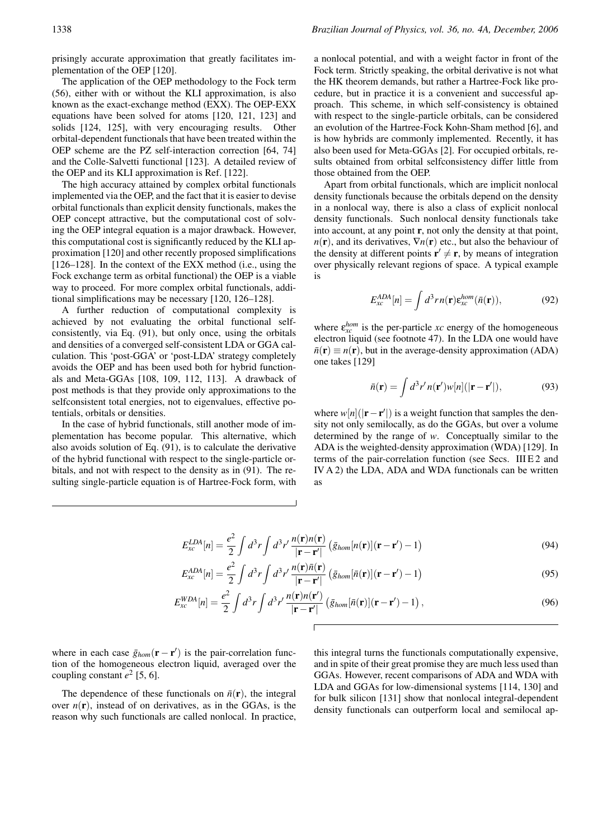prisingly accurate approximation that greatly facilitates implementation of the OEP [120].

The application of the OEP methodology to the Fock term (56), either with or without the KLI approximation, is also known as the exact-exchange method (EXX). The OEP-EXX equations have been solved for atoms [120, 121, 123] and solids [124, 125], with very encouraging results. Other orbital-dependent functionals that have been treated within the OEP scheme are the PZ self-interaction correction [64, 74] and the Colle-Salvetti functional [123]. A detailed review of the OEP and its KLI approximation is Ref. [122].

The high accuracy attained by complex orbital functionals implemented via the OEP, and the fact that it is easier to devise orbital functionals than explicit density functionals, makes the OEP concept attractive, but the computational cost of solving the OEP integral equation is a major drawback. However, this computational cost is significantly reduced by the KLI approximation [120] and other recently proposed simplifications [126–128]. In the context of the EXX method (i.e., using the Fock exchange term as orbital functional) the OEP is a viable way to proceed. For more complex orbital functionals, additional simplifications may be necessary [120, 126–128].

A further reduction of computational complexity is achieved by not evaluating the orbital functional selfconsistently, via Eq. (91), but only once, using the orbitals and densities of a converged self-consistent LDA or GGA calculation. This 'post-GGA' or 'post-LDA' strategy completely avoids the OEP and has been used both for hybrid functionals and Meta-GGAs [108, 109, 112, 113]. A drawback of post methods is that they provide only approximations to the selfconsistent total energies, not to eigenvalues, effective potentials, orbitals or densities.

In the case of hybrid functionals, still another mode of implementation has become popular. This alternative, which also avoids solution of Eq. (91), is to calculate the derivative of the hybrid functional with respect to the single-particle orbitals, and not with respect to the density as in (91). The resulting single-particle equation is of Hartree-Fock form, with a nonlocal potential, and with a weight factor in front of the Fock term. Strictly speaking, the orbital derivative is not what the HK theorem demands, but rather a Hartree-Fock like procedure, but in practice it is a convenient and successful approach. This scheme, in which self-consistency is obtained with respect to the single-particle orbitals, can be considered an evolution of the Hartree-Fock Kohn-Sham method [6], and is how hybrids are commonly implemented. Recently, it has also been used for Meta-GGAs [2]. For occupied orbitals, results obtained from orbital selfconsistency differ little from those obtained from the OEP.

Apart from orbital functionals, which are implicit nonlocal density functionals because the orbitals depend on the density in a nonlocal way, there is also a class of explicit nonlocal density functionals. Such nonlocal density functionals take into account, at any point  $\mathbf r$ , not only the density at that point,  $n(\mathbf{r})$ , and its derivatives,  $\nabla n(\mathbf{r})$  etc., but also the behaviour of the density at different points  $\mathbf{r}' \neq \mathbf{r}$ , by means of integration over physically relevant regions of space. A typical example is

$$
E_{xc}^{ADA}[n] = \int d^3r n(\mathbf{r}) \varepsilon_{xc}^{hom}(\bar{n}(\mathbf{r})), \tag{92}
$$

where  $\varepsilon_{xc}^{hom}$  is the per-particle *xc* energy of the homogeneous electron liquid (see footnote 47). In the LDA one would have  $\bar{n}(\mathbf{r}) \equiv n(\mathbf{r})$ , but in the average-density approximation (ADA) one takes [129]

$$
\bar{n}(\mathbf{r}) = \int d^3r' n(\mathbf{r}')w[n] (|\mathbf{r} - \mathbf{r}'|), \qquad (93)
$$

where  $w[n] (|\mathbf{r} - \mathbf{r}'|)$  is a weight function that samples the density not only semilocally, as do the GGAs, but over a volume determined by the range of *w*. Conceptually similar to the ADA is the weighted-density approximation (WDA) [129]. In terms of the pair-correlation function (see Secs. III E 2 and IV A 2) the LDA, ADA and WDA functionals can be written as

$$
E_{xc}^{LDA}[n] = \frac{e^2}{2} \int d^3r \int d^3r' \frac{n(\mathbf{r})n(\mathbf{r})}{|\mathbf{r} - \mathbf{r}'|} \left(\bar{g}_{hom}[n(\mathbf{r})](\mathbf{r} - \mathbf{r}') - 1\right)
$$
(94)

$$
E_{xc}^{ADA}[n] = \frac{e^2}{2} \int d^3r \int d^3r' \frac{n(\mathbf{r})\bar{n}(\mathbf{r})}{|\mathbf{r} - \mathbf{r}'|} \left(\bar{g}_{hom}[\bar{n}(\mathbf{r})](\mathbf{r} - \mathbf{r}') - 1\right)
$$
(95)

$$
E_{xc}^{WDA}[n] = \frac{e^2}{2} \int d^3r \int d^3r' \frac{n(\mathbf{r})n(\mathbf{r'})}{|\mathbf{r} - \mathbf{r'}|} \left(\bar{g}_{hom}[\bar{n}(\mathbf{r})](\mathbf{r} - \mathbf{r'}) - 1\right),\tag{96}
$$

where in each case  $\bar{g}_{hom}(\mathbf{r} - \mathbf{r}')$  is the pair-correlation function of the homogeneous electron liquid, averaged over the coupling constant  $e^2$  [5, 6].

The dependence of these functionals on  $\bar{n}(\mathbf{r})$ , the integral over  $n(r)$ , instead of on derivatives, as in the GGAs, is the reason why such functionals are called nonlocal. In practice, this integral turns the functionals computationally expensive, and in spite of their great promise they are much less used than GGAs. However, recent comparisons of ADA and WDA with LDA and GGAs for low-dimensional systems [114, 130] and for bulk silicon [131] show that nonlocal integral-dependent density functionals can outperform local and semilocal ap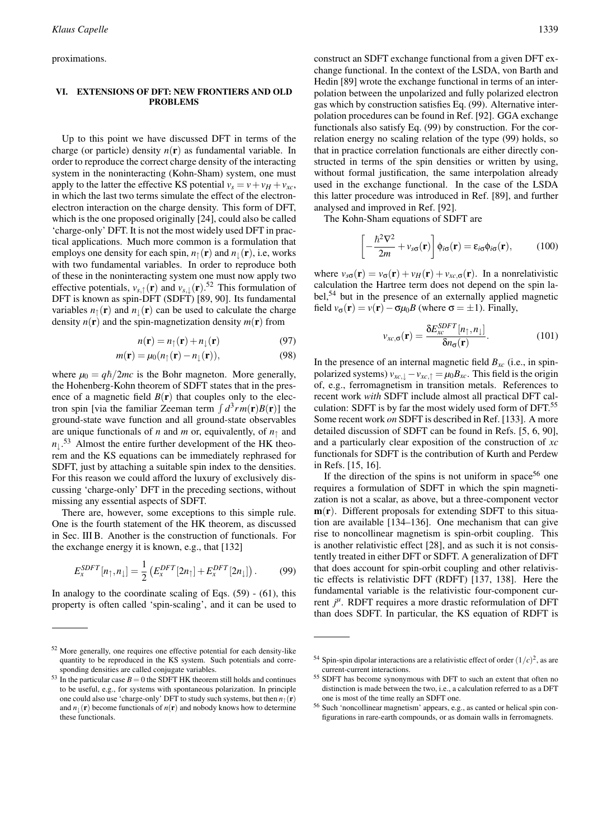proximations.

# VI. EXTENSIONS OF DFT: NEW FRONTIERS AND OLD PROBLEMS

Up to this point we have discussed DFT in terms of the charge (or particle) density  $n(r)$  as fundamental variable. In order to reproduce the correct charge density of the interacting system in the noninteracting (Kohn-Sham) system, one must apply to the latter the effective KS potential  $v_s = v + v_H + v_{xc}$ , in which the last two terms simulate the effect of the electronelectron interaction on the charge density. This form of DFT, which is the one proposed originally [24], could also be called 'charge-only' DFT. It is not the most widely used DFT in practical applications. Much more common is a formulation that employs one density for each spin,  $n_{\uparrow}(\mathbf{r})$  and  $n_{\downarrow}(\mathbf{r})$ , i.e, works with two fundamental variables. In order to reproduce both of these in the noninteracting system one must now apply two effective potentials,  $v_{s,\uparrow}(\mathbf{r})$  and  $v_{s,\downarrow}(\mathbf{r})$ .<sup>52</sup> This formulation of DFT is known as spin-DFT (SDFT) [89, 90]. Its fundamental variables  $n_{\uparrow}(\mathbf{r})$  and  $n_{\downarrow}(\mathbf{r})$  can be used to calculate the charge density  $n(\mathbf{r})$  and the spin-magnetization density  $m(\mathbf{r})$  from

$$
n(\mathbf{r}) = n_{\uparrow}(\mathbf{r}) + n_{\downarrow}(\mathbf{r}) \tag{97}
$$

$$
m(\mathbf{r}) = \mu_0(n_\uparrow(\mathbf{r}) - n_\downarrow(\mathbf{r})),\tag{98}
$$

where  $\mu_0 = q\hbar/2mc$  is the Bohr magneton. More generally, the Hohenberg-Kohn theorem of SDFT states that in the presence of a magnetic field  $B(r)$  that couples only to the electron spin [via the familiar Zeeman term  $\int d^3r m(\mathbf{r})B(\mathbf{r})$ ] the ground-state wave function and all ground-state observables are unique functionals of *n* and *m* or, equivalently, of  $n<sub>†</sub>$  and  $n_{\downarrow}$ .<sup>53</sup> Almost the entire further development of the HK theorem and the KS equations can be immediately rephrased for SDFT, just by attaching a suitable spin index to the densities. For this reason we could afford the luxury of exclusively discussing 'charge-only' DFT in the preceding sections, without missing any essential aspects of SDFT.

There are, however, some exceptions to this simple rule. One is the fourth statement of the HK theorem, as discussed in Sec. III B. Another is the construction of functionals. For the exchange energy it is known, e.g., that [132]

$$
E_x^{SDFT}[n_{\uparrow},n_{\downarrow}]=\frac{1}{2}\left(E_x^{DFT}[2n_{\uparrow}]+E_x^{DFT}[2n_{\downarrow}]\right).
$$
 (99)

In analogy to the coordinate scaling of Eqs.  $(59) - (61)$ , this property is often called 'spin-scaling', and it can be used to

construct an SDFT exchange functional from a given DFT exchange functional. In the context of the LSDA, von Barth and Hedin [89] wrote the exchange functional in terms of an interpolation between the unpolarized and fully polarized electron gas which by construction satisfies Eq. (99). Alternative interpolation procedures can be found in Ref. [92]. GGA exchange functionals also satisfy Eq. (99) by construction. For the correlation energy no scaling relation of the type (99) holds, so that in practice correlation functionals are either directly constructed in terms of the spin densities or written by using, without formal justification, the same interpolation already used in the exchange functional. In the case of the LSDA this latter procedure was introduced in Ref. [89], and further analysed and improved in Ref. [92].

The Kohn-Sham equations of SDFT are

$$
\left[-\frac{\hbar^2 \nabla^2}{2m} + \nu_{s\sigma}(\mathbf{r})\right] \phi_{i\sigma}(\mathbf{r}) = \varepsilon_{i\sigma} \phi_{i\sigma}(\mathbf{r}),\tag{100}
$$

where  $v_{s\sigma}(\mathbf{r}) = v_{\sigma}(\mathbf{r}) + v_H(\mathbf{r}) + v_{xc,\sigma}(\mathbf{r})$ . In a nonrelativistic calculation the Hartree term does not depend on the spin label,<sup>54</sup> but in the presence of an externally applied magnetic field  $v_{\sigma}(\mathbf{r}) = v(\mathbf{r}) - \sigma \mu_0 B$  (where  $\sigma = \pm 1$ ). Finally,

$$
v_{xc,\sigma}(\mathbf{r}) = \frac{\delta E_{xc}^{SDFT}[n_{\uparrow},n_{\downarrow}]}{\delta n_{\sigma}(\mathbf{r})}.
$$
 (101)

In the presence of an internal magnetic field  $B_{xc}$  (i.e., in spinpolarized systems)  $v_{xc}$ ,  $-v_{xc}$ ,  $= \mu_0 B_{xc}$ . This field is the origin of, e.g., ferromagnetism in transition metals. References to recent work *with* SDFT include almost all practical DFT calculation: SDFT is by far the most widely used form of DFT.<sup>55</sup> Some recent work *on* SDFT is described in Ref. [133]. A more detailed discussion of SDFT can be found in Refs. [5, 6, 90], and a particularly clear exposition of the construction of *xc* functionals for SDFT is the contribution of Kurth and Perdew in Refs. [15, 16].

If the direction of the spins is not uniform in space<sup>56</sup> one requires a formulation of SDFT in which the spin magnetization is not a scalar, as above, but a three-component vector  $m(r)$ . Different proposals for extending SDFT to this situation are available [134–136]. One mechanism that can give rise to noncollinear magnetism is spin-orbit coupling. This is another relativistic effect [28], and as such it is not consistently treated in either DFT or SDFT. A generalization of DFT that does account for spin-orbit coupling and other relativistic effects is relativistic DFT (RDFT) [137, 138]. Here the fundamental variable is the relativistic four-component current  $j^{\mu}$ . RDFT requires a more drastic reformulation of DFT than does SDFT. In particular, the KS equation of RDFT is

<sup>52</sup> More generally, one requires one effective potential for each density-like quantity to be reproduced in the KS system. Such potentials and corresponding densities are called conjugate variables.

 $\frac{53}{10}$  In the particular case *B* = 0 the SDFT HK theorem still holds and continues to be useful, e.g., for systems with spontaneous polarization. In principle one could also use 'charge-only' DFT to study such systems, but then  $n_{\uparrow}(\mathbf{r})$ and  $n_{\perp}(\mathbf{r})$  become functionals of  $n(\mathbf{r})$  and nobody knows how to determine these functionals.

<sup>&</sup>lt;sup>54</sup> Spin-spin dipolar interactions are a relativistic effect of order  $(1/c)^2$ , as are current-current interactions.

<sup>55</sup> SDFT has become synonymous with DFT to such an extent that often no distinction is made between the two, i.e., a calculation referred to as a DFT one is most of the time really an SDFT one.

<sup>56</sup> Such 'noncollinear magnetism' appears, e.g., as canted or helical spin configurations in rare-earth compounds, or as domain walls in ferromagnets.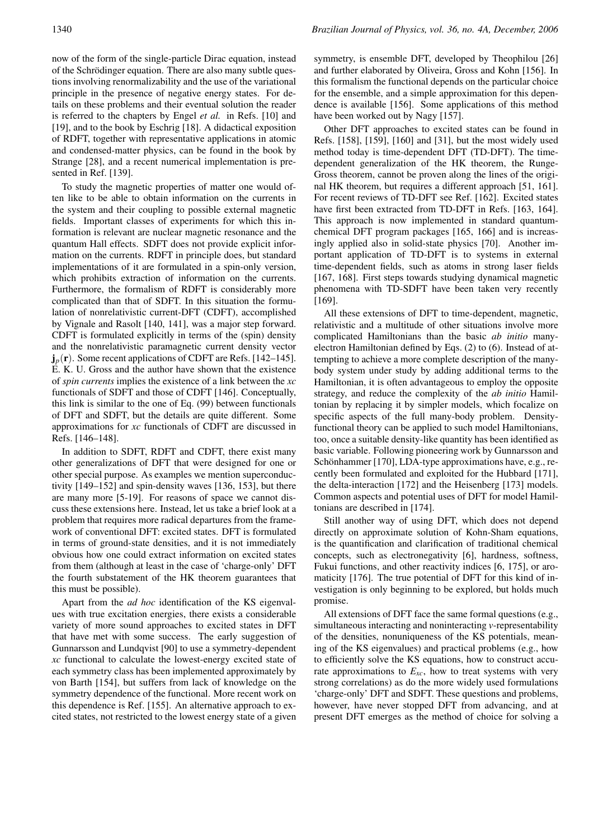now of the form of the single-particle Dirac equation, instead of the Schrödinger equation. There are also many subtle questions involving renormalizability and the use of the variational principle in the presence of negative energy states. For details on these problems and their eventual solution the reader is referred to the chapters by Engel *et al.* in Refs. [10] and [19], and to the book by Eschrig [18]. A didactical exposition of RDFT, together with representative applications in atomic and condensed-matter physics, can be found in the book by Strange [28], and a recent numerical implementation is presented in Ref. [139].

To study the magnetic properties of matter one would often like to be able to obtain information on the currents in the system and their coupling to possible external magnetic fields. Important classes of experiments for which this information is relevant are nuclear magnetic resonance and the quantum Hall effects. SDFT does not provide explicit information on the currents. RDFT in principle does, but standard implementations of it are formulated in a spin-only version, which prohibits extraction of information on the currents. Furthermore, the formalism of RDFT is considerably more complicated than that of SDFT. In this situation the formulation of nonrelativistic current-DFT (CDFT), accomplished by Vignale and Rasolt [140, 141], was a major step forward. CDFT is formulated explicitly in terms of the (spin) density and the nonrelativistic paramagnetic current density vector  $j_p(r)$ . Some recent applications of CDFT are Refs. [142–145]. E. K. U. Gross and the author have shown that the existence of *spin currents* implies the existence of a link between the *xc* functionals of SDFT and those of CDFT [146]. Conceptually, this link is similar to the one of Eq. (99) between functionals of DFT and SDFT, but the details are quite different. Some approximations for *xc* functionals of CDFT are discussed in Refs. [146–148].

In addition to SDFT, RDFT and CDFT, there exist many other generalizations of DFT that were designed for one or other special purpose. As examples we mention superconductivity [149–152] and spin-density waves [136, 153], but there are many more [5-19]. For reasons of space we cannot discuss these extensions here. Instead, let us take a brief look at a problem that requires more radical departures from the framework of conventional DFT: excited states. DFT is formulated in terms of ground-state densities, and it is not immediately obvious how one could extract information on excited states from them (although at least in the case of 'charge-only' DFT the fourth substatement of the HK theorem guarantees that this must be possible).

Apart from the *ad hoc* identification of the KS eigenvalues with true excitation energies, there exists a considerable variety of more sound approaches to excited states in DFT that have met with some success. The early suggestion of Gunnarsson and Lundqvist [90] to use a symmetry-dependent *xc* functional to calculate the lowest-energy excited state of each symmetry class has been implemented approximately by von Barth [154], but suffers from lack of knowledge on the symmetry dependence of the functional. More recent work on this dependence is Ref. [155]. An alternative approach to excited states, not restricted to the lowest energy state of a given

symmetry, is ensemble DFT, developed by Theophilou [26] and further elaborated by Oliveira, Gross and Kohn [156]. In this formalism the functional depends on the particular choice for the ensemble, and a simple approximation for this dependence is available [156]. Some applications of this method have been worked out by Nagy [157].

Other DFT approaches to excited states can be found in Refs. [158], [159], [160] and [31], but the most widely used method today is time-dependent DFT (TD-DFT). The timedependent generalization of the HK theorem, the Runge-Gross theorem, cannot be proven along the lines of the original HK theorem, but requires a different approach [51, 161]. For recent reviews of TD-DFT see Ref. [162]. Excited states have first been extracted from TD-DFT in Refs. [163, 164]. This approach is now implemented in standard quantumchemical DFT program packages [165, 166] and is increasingly applied also in solid-state physics [70]. Another important application of TD-DFT is to systems in external time-dependent fields, such as atoms in strong laser fields [167, 168]. First steps towards studying dynamical magnetic phenomena with TD-SDFT have been taken very recently [169].

All these extensions of DFT to time-dependent, magnetic, relativistic and a multitude of other situations involve more complicated Hamiltonians than the basic *ab initio* manyelectron Hamiltonian defined by Eqs. (2) to (6). Instead of attempting to achieve a more complete description of the manybody system under study by adding additional terms to the Hamiltonian, it is often advantageous to employ the opposite strategy, and reduce the complexity of the *ab initio* Hamiltonian by replacing it by simpler models, which focalize on specific aspects of the full many-body problem. Densityfunctional theory can be applied to such model Hamiltonians, too, once a suitable density-like quantity has been identified as basic variable. Following pioneering work by Gunnarsson and Schönhammer [170], LDA-type approximations have, e.g., recently been formulated and exploited for the Hubbard [171], the delta-interaction [172] and the Heisenberg [173] models. Common aspects and potential uses of DFT for model Hamiltonians are described in [174].

Still another way of using DFT, which does not depend directly on approximate solution of Kohn-Sham equations, is the quantification and clarification of traditional chemical concepts, such as electronegativity [6], hardness, softness, Fukui functions, and other reactivity indices [6, 175], or aromaticity [176]. The true potential of DFT for this kind of investigation is only beginning to be explored, but holds much promise.

All extensions of DFT face the same formal questions (e.g., simultaneous interacting and noninteracting *v*-representability of the densities, nonuniqueness of the KS potentials, meaning of the KS eigenvalues) and practical problems (e.g., how to efficiently solve the KS equations, how to construct accurate approximations to  $E_{xc}$ , how to treat systems with very strong correlations) as do the more widely used formulations 'charge-only' DFT and SDFT. These questions and problems, however, have never stopped DFT from advancing, and at present DFT emerges as the method of choice for solving a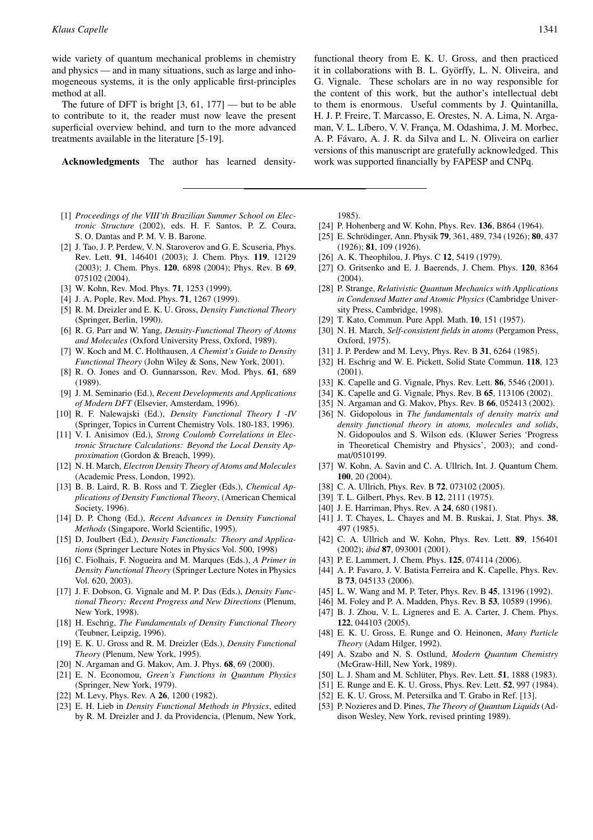wide variety of quantum mechanical problems in chemistry and physics — and in many situations, such as large and inhomogeneous systems, it is the only applicable first-principles method at all.

The future of DFT is bright  $[3, 61, 177]$  — but to be able to contribute to it, the reader must now leave the present superficial overview behind, and turn to the more advanced treatments available in the literature [5-19].

Acknowledgments The author has learned density-

- [1] *Proceedings of the VIII'th Brazilian Summer School on Electronic Structure* (2002), eds. H. F. Santos, P. Z. Coura, S. O. Dantas and P. M. V. B. Barone.
- [2] J. Tao, J. P. Perdew, V. N. Staroverov and G. E. Scuseria, Phys. Rev. Lett. 91, 146401 (2003); J. Chem. Phys. 119, 12129 (2003); J. Chem. Phys. 120, 6898 (2004); Phys. Rev. B 69, 075102 (2004).
- [3] W. Kohn, Rev. Mod. Phys. 71, 1253 (1999).
- [4] J. A. Pople, Rev. Mod. Phys. **71**, 1267 (1999).
- [5] R. M. Dreizler and E. K. U. Gross, *Density Functional Theory* (Springer, Berlin, 1990).
- [6] R. G. Parr and W. Yang, *Density-Functional Theory of Atoms and Molecules* (Oxford University Press, Oxford, 1989).
- [7] W. Koch and M. C. Holthausen, *A Chemist's Guide to Density Functional Theory* (John Wiley & Sons, New York, 2001).
- [8] R. O. Jones and O. Gunnarsson, Rev. Mod. Phys. 61, 689 (1989).
- [9] J. M. Seminario (Ed.), *Recent Developments and Applications of Modern DFT* (Elsevier, Amsterdam, 1996).
- [10] R. F. Nalewajski (Ed.), *Density Functional Theory I -IV* (Springer, Topics in Current Chemistry Vols. 180-183, 1996).
- [11] V. I. Anisimov (Ed.), *Strong Coulomb Correlations in Electronic Structure Calculations: Beyond the Local Density Approximation* (Gordon & Breach, 1999).
- [12] N. H. March, *Electron Density Theory of Atoms and Molecules* (Academic Press, London, 1992).
- [13] B. B. Laird, R. B. Ross and T. Ziegler (Eds.), *Chemical Applications of Density Functional Theory*, (American Chemical Society, 1996).
- [14] D. P. Chong (Ed.), *Recent Advances in Density Functional Methods* (Singapore, World Scientific, 1995).
- [15] D. Joulbert (Ed.), *Density Functionals: Theory and Applications* (Springer Lecture Notes in Physics Vol. 500, 1998)
- [16] C. Fiolhais, F. Nogueira and M. Marques (Eds.), *A Primer in Density Functional Theory* (Springer Lecture Notes in Physics Vol. 620, 2003).
- [17] J. F. Dobson, G. Vignale and M. P. Das (Eds.), *Density Functional Theory: Recent Progress and New Directions* (Plenum, New York, 1998).
- [18] H. Eschrig, *The Fundamentals of Density Functional Theory* (Teubner, Leipzig, 1996).
- [19] E. K. U. Gross and R. M. Dreizler (Eds.), *Density Functional Theory* (Plenum, New York, 1995).
- [20] N. Argaman and G. Makov, Am. J. Phys. 68, 69 (2000).
- [21] E. N. Economou, *Green's Functions in Quantum Physics* (Springer, New York, 1979).
- [22] M. Levy, Phys. Rev. A **26**, 1200 (1982).
- [23] E. H. Lieb in *Density Functional Methods in Physics*, edited by R. M. Dreizler and J. da Providencia, (Plenum, New York,

functional theory from E. K. U. Gross, and then practiced it in collaborations with B. L. Györffy, L. N. Oliveira, and G. Vignale. These scholars are in no way responsible for the content of this work, but the author's intellectual debt to them is enormous. Useful comments by J. Quintanilla, H. J. P. Freire, T. Marcasso, E. Orestes, N. A. Lima, N. Argaman, V. L. Líbero, V. V. França, M. Odashima, J. M. Morbec, A. P. Fávaro, A. J. R. da Silva and L. N. Oliveira on earlier versions of this manuscript are gratefully acknowledged. This work was supported financially by FAPESP and CNPq.

1985).

- [24] P. Hohenberg and W. Kohn, Phys. Rev. **136**, B864 (1964).
- [25] E. Schrödinger, Ann. Physik **79**, 361, 489, 734 (1926); **80**, 437 (1926); 81, 109 (1926).
- [26] A. K. Theophilou, J. Phys. C 12, 5419 (1979).
- [27] O. Gritsenko and E. J. Baerends, J. Chem. Phys. 120, 8364  $(2004)$ .
- [28] P. Strange, *Relativistic Quantum Mechanics with Applications in Condensed Matter and Atomic Physics* (Cambridge University Press, Cambridge, 1998).
- [29] T. Kato, Commun. Pure Appl. Math. 10, 151 (1957).
- [30] N. H. March, *Self-consistent fields in atoms* (Pergamon Press, Oxford, 1975).
- [31] J. P. Perdew and M. Levy, Phys. Rev. B 31, 6264 (1985).
- [32] H. Eschrig and W. E. Pickett, Solid State Commun. 118, 123  $(2001)$ .
- [33] K. Capelle and G. Vignale, Phys. Rev. Lett. **86**, 5546 (2001).
- [34] K. Capelle and G. Vignale, Phys. Rev. B 65, 113106 (2002).
- [35] N. Argaman and G. Makov, Phys. Rev. B 66, 052413 (2002).
- [36] N. Gidopolous in *The fundamentals of density matrix and density functional theory in atoms, molecules and solids*, N. Gidopoulos and S. Wilson eds. (Kluwer Series 'Progress in Theoretical Chemistry and Physics', 2003); and condmat/0510199.
- [37] W. Kohn, A. Savin and C. A. Ullrich, Int. J. Quantum Chem. 100, 20 (2004).
- [38] C. A. Ullrich, Phys. Rev. B 72, 073102 (2005).
- [39] T. L. Gilbert, Phys. Rev. B 12, 2111 (1975).
- [40] J. E. Harriman, Phys. Rev. A **24**, 680 (1981).
- [41] J. T. Chayes, L. Chayes and M. B. Ruskai, J. Stat. Phys. 38, 497 (1985).
- [42] C. A. Ullrich and W. Kohn, Phys. Rev. Lett. 89, 156401 (2002); *ibid* 87, 093001 (2001).
- [43] P. E. Lammert, J. Chem. Phys. 125, 074114 (2006).
- [44] A. P. Favaro, J. V. Batista Ferreira and K. Capelle, Phys. Rev. B 73, 045133 (2006).
- [45] L. W. Wang and M. P. Teter, Phys. Rev. B 45, 13196 (1992).
- [46] M. Foley and P. A. Madden, Phys. Rev. B 53, 10589 (1996).
- [47] B. J. Zhou, V. L. Ligneres and E. A. Carter, J. Chem. Phys. 122, 044103 (2005).
- [48] E. K. U. Gross, E. Runge and O. Heinonen, *Many Particle Theory* (Adam Hilger, 1992).
- [49] A. Szabo and N. S. Ostlund, *Modern Quantum Chemistry* (McGraw-Hill, New York, 1989).
- [50] L. J. Sham and M. Schlüter, Phys. Rev. Lett. **51**, 1888 (1983).
- [51] E. Runge and E. K. U. Gross, Phys. Rev. Lett. 52, 997 (1984).
- [52] E. K. U. Gross, M. Petersilka and T. Grabo in Ref. [13].
- [53] P. Nozieres and D. Pines, *The Theory of Quantum Liquids* (Addison Wesley, New York, revised printing 1989).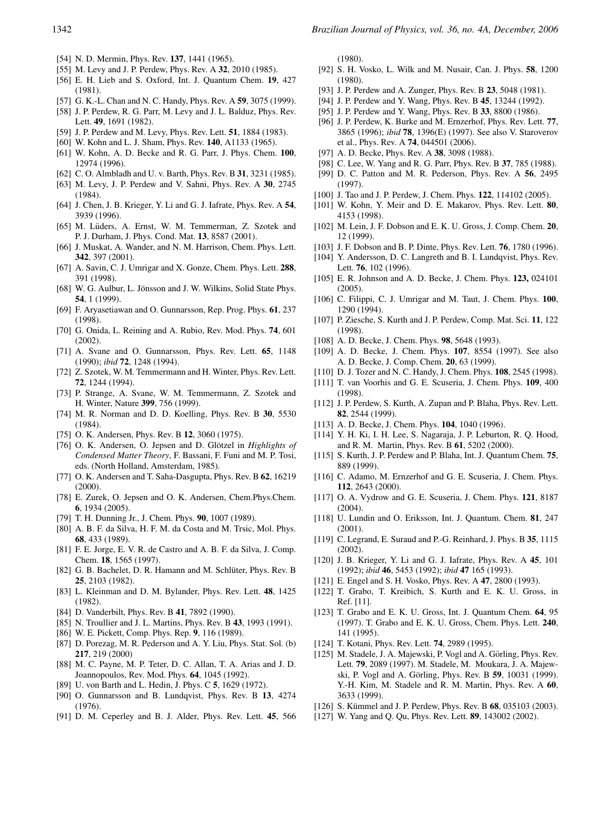- [55] M. Levy and J. P. Perdew, Phys. Rev. A 32, 2010 (1985).
- [56] E. H. Lieb and S. Oxford, Int. J. Quantum Chem. 19, 427 (1981).
- [57] G. K.-L. Chan and N. C. Handy, Phys. Rev. A 59, 3075 (1999).
- [58] J. P. Perdew, R. G. Parr, M. Levy and J. L. Balduz, Phys. Rev. Lett. 49, 1691 (1982).
- [59] J. P. Perdew and M. Levy, Phys. Rev. Lett. 51, 1884 (1983).
- [60] W. Kohn and L. J. Sham, Phys. Rev. **140**, A1133 (1965).
- [61] W. Kohn, A. D. Becke and R. G. Parr, J. Phys. Chem. 100, 12974 (1996).
- [62] C. O. Almbladh and U. v. Barth, Phys. Rev. B 31, 3231 (1985).
- [63] M. Levy, J. P. Perdew and V. Sahni, Phys. Rev. A 30, 2745 (1984).
- [64] J. Chen, J. B. Krieger, Y. Li and G. J. Iafrate, Phys. Rev. A 54, 3939 (1996).
- [65] M. Lüders, A. Ernst, W. M. Temmerman, Z. Szotek and P. J. Durham, J. Phys. Cond. Mat. 13, 8587 (2001).
- [66] J. Muskat, A. Wander, and N. M. Harrison, Chem. Phys. Lett. 342, 397 (2001).
- [67] A. Savin, C. J. Umrigar and X. Gonze, Chem. Phys. Lett. 288, 391 (1998).
- [68] W. G. Aulbur, L. Jönsson and J. W. Wilkins, Solid State Phys. 54, 1 (1999).
- [69] F. Aryasetiawan and O. Gunnarsson, Rep. Prog. Phys. 61, 237 (1998).
- [70] G. Onida, L. Reining and A. Rubio, Rev. Mod. Phys. 74, 601 (2002).
- [71] A. Svane and O. Gunnarsson, Phys. Rev. Lett. 65, 1148 (1990); *ibid* 72, 1248 (1994).
- [72] Z. Szotek, W. M. Temmermann and H. Winter, Phys. Rev. Lett. 72, 1244 (1994).
- [73] P. Strange, A. Svane, W. M. Temmermann, Z. Szotek and H. Winter, Nature 399, 756 (1999).
- [74] M. R. Norman and D. D. Koelling, Phys. Rev. B 30, 5530 (1984).
- [75] O. K. Andersen, Phys. Rev. B 12, 3060 (1975).
- [76] O. K. Andersen, O. Jepsen and D. Glötzel in *Highlights of Condensed Matter Theory*, F. Bassani, F. Funi and M. P. Tosi, eds. (North Holland, Amsterdam, 1985).
- [77] O. K. Andersen and T. Saha-Dasgupta, Phys. Rev. B 62, 16219 (2000).
- [78] E. Zurek, O. Jepsen and O. K. Andersen, Chem.Phys.Chem. 6, 1934 (2005).
- [79] T. H. Dunning Jr., J. Chem. Phys. **90**, 1007 (1989).
- [80] A. B. F. da Silva, H. F. M. da Costa and M. Trsic, Mol. Phys. 68, 433 (1989).
- [81] F. E. Jorge, E. V. R. de Castro and A. B. F. da Silva, J. Comp. Chem. 18, 1565 (1997).
- [82] G. B. Bachelet, D. R. Hamann and M. Schlüter, Phys. Rev. B 25, 2103 (1982).
- [83] L. Kleinman and D. M. Bylander, Phys. Rev. Lett. 48, 1425 (1982).
- [84] D. Vanderbilt, Phys. Rev. B 41, 7892 (1990).
- [85] N. Troullier and J. L. Martins, Phys. Rev. B 43, 1993 (1991).
- [86] W. E. Pickett, Comp. Phys. Rep. 9, 116 (1989).
- [87] D. Porezag, M. R. Pederson and A. Y. Liu, Phys. Stat. Sol. (b) 217, 219 (2000)
- [88] M. C. Payne, M. P. Teter, D. C. Allan, T. A. Arias and J. D. Joannopoulos, Rev. Mod. Phys. 64, 1045 (1992).
- [89] U. von Barth and L. Hedin, J. Phys. C 5, 1629 (1972).
- [90] O. Gunnarsson and B. Lundqvist, Phys. Rev. B 13, 4274 (1976).
- [91] D. M. Ceperley and B. J. Alder, Phys. Rev. Lett. 45, 566

(1980).

- [92] S. H. Vosko, L. Wilk and M. Nusair, Can. J. Phys. 58, 1200 (1980).
- [93] J. P. Perdew and A. Zunger, Phys. Rev. B 23, 5048 (1981).
- [94] J. P. Perdew and Y. Wang, Phys. Rev. B 45, 13244 (1992).
- [95] J. P. Perdew and Y. Wang, Phys. Rev. B 33, 8800 (1986).
- [96] J. P. Perdew, K. Burke and M. Ernzerhof, Phys. Rev. Lett. 77, 3865 (1996); *ibid* 78, 1396(E) (1997). See also V. Staroverov et al., Phys. Rev. A 74, 044501 (2006).
- [97] A. D. Becke, Phys. Rev. A 38, 3098 (1988).
- [98] C. Lee, W. Yang and R. G. Parr, Phys. Rev. B 37, 785 (1988).
- [99] D. C. Patton and M. R. Pederson, Phys. Rev. A 56, 2495 (1997).
- [100] J. Tao and J. P. Perdew, J. Chem. Phys. 122, 114102 (2005).
- [101] W. Kohn, Y. Meir and D. E. Makarov, Phys. Rev. Lett. 80, 4153 (1998).
- [102] M. Lein, J. F. Dobson and E. K. U. Gross, J. Comp. Chem. 20, 12 (1999).
- [103] J. F. Dobson and B. P. Dinte, Phys. Rev. Lett. **76**, 1780 (1996).
- [104] Y. Andersson, D. C. Langreth and B. I. Lundqvist, Phys. Rev. Lett. 76, 102 (1996).
- [105] E. R. Johnson and A. D. Becke, J. Chem. Phys. **123**, 024101 (2005).
- [106] C. Filippi, C. J. Umrigar and M. Taut, J. Chem. Phys. 100, 1290 (1994).
- [107] P. Ziesche, S. Kurth and J. P. Perdew, Comp. Mat. Sci. 11, 122 (1998).
- [108] A. D. Becke, J. Chem. Phys. 98, 5648 (1993).
- [109] A. D. Becke, J. Chem. Phys. 107, 8554 (1997). See also A. D. Becke, J. Comp. Chem. 20, 63 (1999).
- [110] D. J. Tozer and N. C. Handy, J. Chem. Phys. **108**, 2545 (1998).
- [111] T. van Voorhis and G. E. Scuseria, J. Chem. Phys. 109, 400 (1998).
- [112] J. P. Perdew, S. Kurth, A. Zupan and P. Blaha, Phys. Rev. Lett. 82, 2544 (1999).
- [113] A. D. Becke, J. Chem. Phys. 104, 1040 (1996).
- [114] Y. H. Ki, I. H. Lee, S. Nagaraja, J. P. Leburton, R. Q. Hood, and R. M. Martin, Phys. Rev. B 61, 5202 (2000).
- [115] S. Kurth, J. P. Perdew and P. Blaha, Int. J. Quantum Chem. 75, 889 (1999).
- [116] C. Adamo, M. Ernzerhof and G. E. Scuseria, J. Chem. Phys. 112, 2643 (2000).
- [117] O. A. Vydrow and G. E. Scuseria, J. Chem. Phys. **121**, 8187 (2004).
- [118] U. Lundin and O. Eriksson, Int. J. Quantum. Chem. 81, 247 (2001).
- [119] C. Legrand, E. Suraud and P.-G. Reinhard, J. Phys. B 35, 1115 (2002).
- [120] J. B. Krieger, Y. Li and G. J. Iafrate, Phys. Rev. A 45, 101 (1992); *ibid* 46, 5453 (1992); *ibid* 47 165 (1993).
- [121] E. Engel and S. H. Vosko, Phys. Rev. A 47, 2800 (1993).
- [122] T. Grabo, T. Kreibich, S. Kurth and E. K. U. Gross, in Ref. [11].
- [123] T. Grabo and E. K. U. Gross, Int. J. Quantum Chem. 64, 95 (1997). T. Grabo and E. K. U. Gross, Chem. Phys. Lett. 240, 141 (1995).
- [124] T. Kotani, Phys. Rev. Lett. **74**, 2989 (1995).
- [125] M. Stadele, J. A. Majewski, P. Vogl and A. Görling, Phys. Rev. Lett. 79, 2089 (1997). M. Stadele, M. Moukara, J. A. Majewski, P. Vogl and A. Görling, Phys. Rev. B 59, 10031 (1999). Y.-H. Kim, M. Stadele and R. M. Martin, Phys. Rev. A 60, 3633 (1999).
- [126] S. Kümmel and J. P. Perdew, Phys. Rev. B  $68$ , 035103 (2003).
- [127] W. Yang and O. Ou, Phys. Rev. Lett. **89**, 143002 (2002).